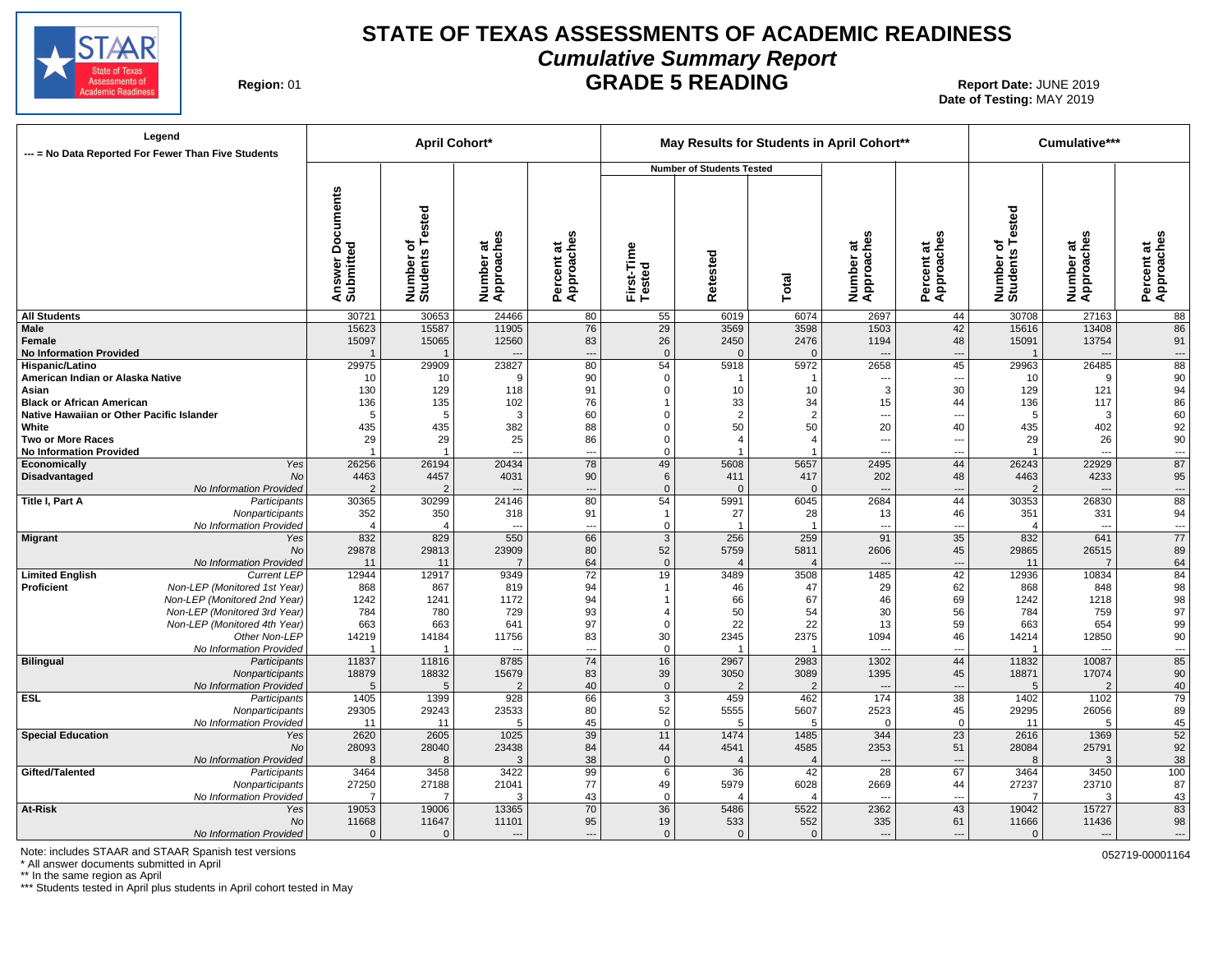

## **STATE OF TEXAS ASSESSMENTS OF ACADEMIC READINESS Cumulative Summary Report GRADE 5 READING** Report Date: JUNE 2019

**Region:** 

# **Date of Testing:**  MAY 2019

| Legend<br>--- = No Data Reported For Fewer Than Five Students |                                               |                                            |                              | <b>April Cohort*</b>    |                              |                         |                                  |                                 | May Results for Students in April Cohort** |                                |                              | Cumulative***                 |                          |
|---------------------------------------------------------------|-----------------------------------------------|--------------------------------------------|------------------------------|-------------------------|------------------------------|-------------------------|----------------------------------|---------------------------------|--------------------------------------------|--------------------------------|------------------------------|-------------------------------|--------------------------|
|                                                               |                                               |                                            |                              |                         |                              |                         | <b>Number of Students Tested</b> |                                 |                                            |                                |                              |                               |                          |
|                                                               |                                               | <b>Documents</b><br>Answer Do<br>Submitted | Number of<br>Students Tested | Number at<br>Approaches | Approaches<br>ಕ<br>Percent a | First-Time<br>Tested    | Retested                         | Total                           | Number at<br>Approaches                    | Percent at<br>Approaches       | Number of<br>Students Tested | U.<br>Number at<br>Approaches | Percent at<br>Approaches |
| <b>All Students</b>                                           |                                               | 30721                                      | 30653                        | 24466                   | 80                           | 55                      | 6019                             | 6074                            | 2697                                       | 44                             | 30708                        | 27163                         | 88                       |
| <b>Male</b>                                                   |                                               | 15623                                      | 15587                        | 11905                   | 76                           | 29                      | 3569                             | 3598                            | 1503                                       | 42                             | 15616                        | 13408                         | 86                       |
| Female                                                        |                                               | 15097                                      | 15065                        | 12560                   | 83                           | 26                      | 2450                             | 2476                            | 1194                                       | 48                             | 15091                        | 13754                         | 91                       |
| <b>No Information Provided</b>                                |                                               |                                            |                              |                         | $\overline{a}$               | $\mathbf{0}$            |                                  | $\Omega$                        |                                            | $\overline{a}$                 |                              | $\overline{a}$                | $\hspace{0.05cm} \ldots$ |
| Hispanic/Latino                                               |                                               | 29975                                      | 29909                        | 23827                   | 80                           | 54                      | 5918                             | 5972                            | 2658                                       | 45                             | 29963                        | 26485<br>9                    | 88                       |
| American Indian or Alaska Native<br>Asian                     |                                               | 10<br>130                                  | 10<br>129                    | 9<br>118                | 90<br>91                     | $\mathbf 0$<br>$\Omega$ | 10                               | -1<br>10                        | ---<br>3                                   | $\overline{\phantom{a}}$<br>30 | 10<br>129                    | 121                           | 90<br>94                 |
| <b>Black or African American</b>                              |                                               | 136                                        | 135                          | 102                     | 76                           |                         | 33                               | 34                              | 15                                         | 44                             | 136                          | 117                           | 86                       |
| Native Hawaiian or Other Pacific Islander                     |                                               | -5                                         | 5                            | 3                       | 60                           | $\Omega$                | $\overline{2}$                   | $\overline{2}$                  | ---                                        | ---                            | -5                           | 3                             | 60                       |
| White                                                         |                                               | 435                                        | 435                          | 382                     | 88                           | $\Omega$                | 50                               | 50                              | 20                                         | 40                             | 435                          | 402                           | 92                       |
| <b>Two or More Races</b>                                      |                                               | 29                                         | 29                           | 25                      | 86                           | $\Omega$                | $\overline{4}$                   | $\overline{\mathbf{4}}$         | ---                                        | ---                            | 29                           | 26                            | 90                       |
| <b>No Information Provided</b>                                |                                               |                                            | $\overline{1}$               | ---                     | ---                          | $\Omega$                |                                  |                                 | ---                                        | ---                            |                              | ---                           | $\overline{\phantom{a}}$ |
| Economically                                                  | Yes                                           | 26256                                      | 26194                        | 20434                   | 78                           | 49                      | 5608                             | 5657                            | 2495                                       | 44                             | 26243                        | 22929                         | 87                       |
| Disadvantaged                                                 | <b>No</b>                                     | 4463                                       | 4457                         | 4031                    | 90                           | 6                       | 411                              | 417                             | 202                                        | 48                             | 4463                         | 4233                          | 95                       |
|                                                               | No Information Provided                       | -2                                         | $\overline{2}$               |                         | $\overline{a}$               | $\mathbf 0$             | $\Omega$                         | $\Omega$                        | $\overline{\phantom{a}}$                   | …                              |                              | $\overline{a}$                | ---                      |
| <b>Title I, Part A</b>                                        | Participants                                  | 30365                                      | 30299                        | 24146                   | 80                           | 54                      | 5991                             | 6045                            | 2684                                       | 44                             | 30353                        | 26830                         | $\overline{88}$          |
|                                                               | Nonparticipants                               | 352                                        | 350                          | 318                     | 91                           | $\mathbf 1$             | 27                               | 28                              | 13                                         | 46                             | 351                          | 331                           | 94                       |
|                                                               | No Information Provided                       | $\Delta$                                   |                              | $\overline{a}$          | $\overline{a}$               | $\mathbf 0$             |                                  | -1                              | ---                                        | $\overline{a}$                 |                              | $\overline{a}$                | $\hspace{0.05cm} \ldots$ |
| <b>Migrant</b>                                                | Yes<br><b>No</b>                              | 832                                        | 829                          | 550<br>23909            | 66<br>80                     | $\mathbf{3}$<br>52      | 256<br>5759                      | 259                             | 91<br>2606                                 | 35<br>45                       | 832                          | 641<br>26515                  | 77<br>89                 |
|                                                               |                                               | 29878<br>11                                | 29813<br>11                  | $\overline{7}$          | 64                           | $\mathbf 0$             |                                  | 5811<br>$\overline{\mathbf{4}}$ | $\overline{\phantom{a}}$                   |                                | 29865<br>11                  | $\overline{7}$                | 64                       |
| <b>Limited English</b>                                        | No Information Provided<br><b>Current LEP</b> | 12944                                      | 12917                        | 9349                    | 72                           | 19                      | 3489                             | 3508                            | 1485                                       | ---<br>42                      | 12936                        | 10834                         | 84                       |
| Proficient                                                    | Non-LEP (Monitored 1st Year)                  | 868                                        | 867                          | 819                     | 94                           |                         | 46                               | 47                              | 29                                         | 62                             | 868                          | 848                           | 98                       |
|                                                               | Non-LEP (Monitored 2nd Year)                  | 1242                                       | 1241                         | 1172                    | 94                           |                         | 66                               | 67                              | 46                                         | 69                             | 1242                         | 1218                          | 98                       |
|                                                               | Non-LEP (Monitored 3rd Year)                  | 784                                        | 780                          | 729                     | 93                           | $\overline{4}$          | 50                               | 54                              | 30                                         | 56                             | 784                          | 759                           | 97                       |
|                                                               | Non-LEP (Monitored 4th Year)                  | 663                                        | 663                          | 641                     | 97                           | $\mathbf 0$             | 22                               | 22                              | 13                                         | 59                             | 663                          | 654                           | 99                       |
|                                                               | Other Non-LEP                                 | 14219                                      | 14184                        | 11756                   | 83                           | 30                      | 2345                             | 2375                            | 1094                                       | 46                             | 14214                        | 12850                         | $90\,$                   |
|                                                               | No Information Provided                       |                                            |                              | $\overline{a}$          | $\overline{\phantom{a}}$     | $\mathbf 0$             |                                  |                                 | $\overline{\phantom{a}}$                   | ---                            |                              | $\overline{a}$                | ---                      |
| <b>Bilingual</b>                                              | Participants                                  | 11837                                      | 11816                        | 8785                    | 74                           | 16                      | 2967                             | 2983                            | 1302                                       | 44                             | 11832                        | 10087                         | 85                       |
|                                                               | Nonparticipants                               | 18879                                      | 18832                        | 15679                   | 83                           | 39                      | 3050                             | 3089                            | 1395                                       | 45                             | 18871                        | 17074                         | 90                       |
|                                                               | No Information Provided                       | 5                                          | 5                            | $\overline{2}$          | 40                           | $\mathbf 0$             |                                  | $\overline{2}$                  | $\overline{\phantom{a}}$                   | ---                            | 5                            | $\overline{2}$                | 40                       |
| <b>ESL</b>                                                    | Participants                                  | 1405                                       | 1399                         | 928                     | 66                           | $\overline{3}$          | 459                              | 462                             | 174                                        | 38                             | 1402                         | 1102                          | 79                       |
|                                                               | Nonparticipants                               | 29305                                      | 29243                        | 23533                   | 80                           | 52                      | 5555                             | 5607                            | 2523                                       | 45                             | 29295                        | 26056                         | 89                       |
|                                                               | No Information Provided                       | 11                                         | 11                           | 5                       | 45                           | $\mathbf 0$             | 5                                | .5                              | $\Omega$                                   | $\overline{0}$                 | 11                           | 5                             | 45                       |
| <b>Special Education</b>                                      | Yes                                           | 2620                                       | 2605                         | 1025                    | 39                           | 11                      | 1474                             | 1485                            | 344                                        | 23                             | 2616                         | 1369                          | 52                       |
|                                                               | <b>No</b>                                     | 28093                                      | 28040                        | 23438<br>3              | 84                           | 44<br>$\Omega$          | 4541                             | 4585                            | 2353                                       | 51                             | 28084                        | 25791<br>3                    | 92                       |
| Gifted/Talented                                               | No Information Provided<br>Participants       | 8<br>3464                                  | 8<br>3458                    | 3422                    | 38<br>99                     | 6                       | 36                               | $\overline{4}$<br>42            | $\overline{\phantom{a}}$<br>28             | ---<br>67                      | 8<br>3464                    | 3450                          | 38<br>100                |
|                                                               | Nonparticipants                               | 27250                                      | 27188                        | 21041                   | 77                           | 49                      | 5979                             | 6028                            | 2669                                       | 44                             | 27237                        | 23710                         | 87                       |
|                                                               | No Information Provided                       |                                            | 7                            | 3                       | 43                           | $\mathbf 0$             |                                  | $\overline{\mathbf{4}}$         | $\overline{\phantom{a}}$                   | ---                            |                              | 3                             | 43                       |
| At-Risk                                                       | Yes                                           | 19053                                      | 19006                        | 13365                   | 70                           | $\overline{36}$         | 5486                             | 5522                            | 2362                                       | 43                             | 19042                        | 15727                         | 83                       |
|                                                               | No                                            | 11668                                      | 11647                        | 11101                   | 95                           | 19                      | 533                              | 552                             | 335                                        | 61                             | 11666                        | 11436                         | 98                       |
|                                                               | No Information Provided                       |                                            | $\Omega$                     | $---$                   | ---                          | $\Omega$                | $\Omega$                         | $\Omega$                        | ---                                        | ---                            | $\Omega$                     |                               | ---                      |

Note: includes STAAR and STAAR Spanish test versions of the state of the state of the state of the state of the state of the state of the state of the state of the state of the state of the state of the state of the state

\* All answer documents submitted in April

\*\* In the same region as April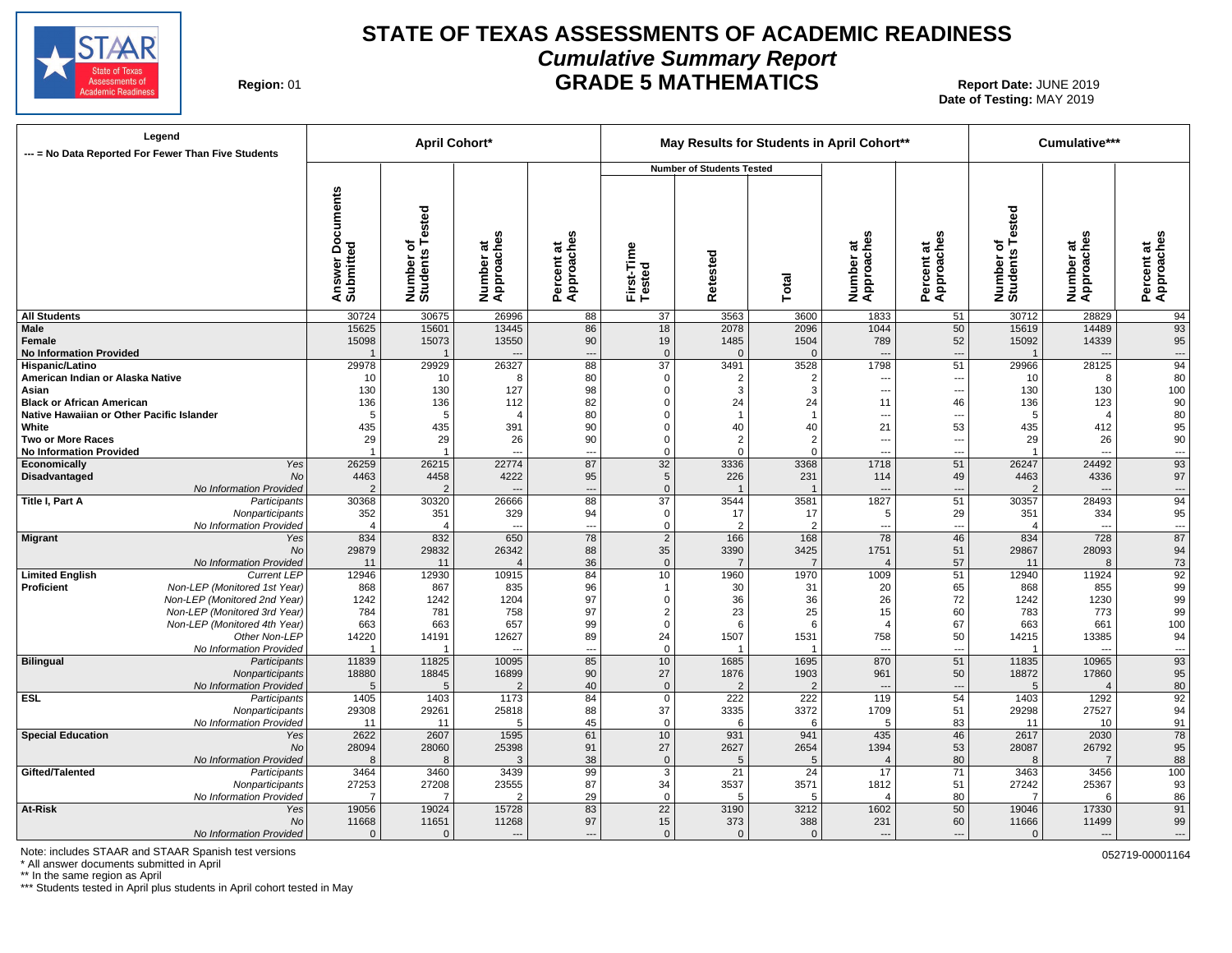

### **STATE OF TEXAS ASSESSMENTS OF ACADEMIC READINESS Cumulative Summary Report GRADE 5 MATHEMATICS** Report Date: JUNE 2019

**Region:** 

**Date of Testing:**  MAY 2019

| Legend<br>--- = No Data Reported For Fewer Than Five Students           |                                     |                              | <b>April Cohort*</b>     |                          |                      |                                  |                        | May Results for Students in April Cohort** |                          |                                      | Cumulative***                     |                                             |
|-------------------------------------------------------------------------|-------------------------------------|------------------------------|--------------------------|--------------------------|----------------------|----------------------------------|------------------------|--------------------------------------------|--------------------------|--------------------------------------|-----------------------------------|---------------------------------------------|
|                                                                         |                                     |                              |                          |                          |                      | <b>Number of Students Tested</b> |                        |                                            |                          |                                      |                                   |                                             |
|                                                                         | Documents<br>Answer Do<br>Submitted | Number of<br>Students Tested | Number at<br>Approaches  | Approaches<br>Percent at | First-Time<br>Tested | Retested                         | Total                  | Number at<br>Approaches                    | Percent at<br>Approaches | Tested<br>৳<br>Number of<br>Students | Number at<br>Approaches           | Approaches<br>Percent at                    |
| <b>All Students</b>                                                     | 30724                               | 30675                        | 26996                    | 88                       | 37                   | 3563                             | 3600                   | 1833                                       | 51                       | 30712                                | 28829                             | 94                                          |
| <b>Male</b>                                                             | 15625                               | 15601                        | 13445                    | 86                       | 18                   | 2078                             | 2096                   | 1044                                       | 50                       | 15619                                | 14489                             | 93                                          |
| Female<br><b>No Information Provided</b>                                | 15098                               | 15073                        | 13550                    | 90                       | 19<br>$\Omega$       | 1485<br>$\Omega$                 | 1504<br>$\Omega$       | 789                                        | 52                       | 15092                                | 14339<br>$\overline{\phantom{a}}$ | 95                                          |
| Hispanic/Latino                                                         | 29978                               | 29929                        | 26327                    | $\overline{a}$<br>88     | 37                   | 3491                             | 3528                   | $\overline{\phantom{a}}$<br>1798           | ---<br>51                | 29966                                | 28125                             | $\overline{\phantom{a}}$<br>$\overline{94}$ |
| American Indian or Alaska Native                                        | 10                                  | 10                           | 8                        | 80                       | $\Omega$             | $\overline{2}$                   | 2                      | $\overline{\phantom{a}}$                   | ---                      | 10                                   | 8                                 | 80                                          |
| Asian                                                                   | 130                                 | 130                          | 127                      | 98                       | $\Omega$             | 3                                | 3                      | $\overline{a}$                             | ---                      | 130                                  | 130                               | 100                                         |
| <b>Black or African American</b>                                        | 136                                 | 136                          | 112                      | 82                       | 0                    | 24                               | 24                     | 11                                         | 46                       | 136                                  | 123                               | 90                                          |
| Native Hawaiian or Other Pacific Islander                               | 5                                   | 5                            | $\overline{4}$           | 80                       | $\Omega$             | $\overline{1}$                   | $\overline{1}$         | $\overline{\phantom{a}}$                   | ---                      | 5                                    | $\overline{4}$                    | 80                                          |
| White                                                                   | 435                                 | 435                          | 391                      | 90                       | 0                    | 40                               | 40                     | 21                                         | 53                       | 435                                  | 412                               | 95                                          |
| <b>Two or More Races</b>                                                | 29                                  | 29                           | 26                       | 90                       | 0                    | $\overline{2}$                   | 2                      | $\overline{\phantom{a}}$                   | ---                      | 29                                   | 26                                | 90                                          |
| <b>No Information Provided</b>                                          |                                     | $\overline{1}$               | $\overline{a}$           | $\overline{\phantom{a}}$ | $\Omega$             | $\mathbf 0$                      | $\mathbf 0$            | ---                                        | ---                      |                                      | $\overline{\phantom{a}}$          | $\overline{\phantom{a}}$                    |
| Economically<br>Yes                                                     | 26259                               | 26215                        | 22774                    | 87                       | 32                   | 3336                             | 3368                   | 1718                                       | 51                       | 26247                                | 24492                             | 93                                          |
| Disadvantaged<br><b>No</b>                                              | 4463                                | 4458                         | 4222                     | 95                       | 5                    | 226                              | 231                    | 114                                        | 49                       | 4463                                 | 4336                              | 97                                          |
| No Information Provided                                                 | $\overline{2}$                      | 2                            | $\overline{a}$           | $\overline{\phantom{a}}$ | $\mathbf{0}$         |                                  |                        | $\overline{\phantom{a}}$                   | ---                      | $\overline{2}$                       | $\overline{\phantom{a}}$          | ---                                         |
| Title I, Part A<br>Participants                                         | 30368                               | 30320                        | 26666                    | 88                       | $\overline{37}$      | 3544                             | 3581                   | 1827                                       | 51                       | 30357                                | 28493                             | 94                                          |
| Nonparticipants                                                         | 352                                 | 351                          | 329                      | 94                       | 0                    | 17                               | 17                     | 5                                          | 29                       | 351                                  | 334                               | 95                                          |
| No Information Provided                                                 | $\overline{4}$                      | $\overline{4}$               | $\overline{a}$           | $\overline{\phantom{a}}$ | $\mathbf 0$          | $\overline{2}$                   | $\overline{2}$         | $\overline{\phantom{a}}$                   | $\overline{\phantom{a}}$ | $\overline{4}$                       | $\overline{\phantom{a}}$          | $\hspace{0.05cm} \ldots$                    |
| Migrant<br>Yes                                                          | 834                                 | 832                          | 650                      | 78                       | $\overline{2}$       | 166                              | 168                    | 78                                         | 46                       | 834                                  | 728                               | 87                                          |
| No                                                                      | 29879                               | 29832                        | 26342                    | 88                       | 35                   | 3390<br>$\overline{7}$           | 3425<br>$\overline{7}$ | 1751                                       | 51                       | 29867                                | 28093<br>$\mathcal{B}$            | 94                                          |
| No Information Provided<br><b>Current LEP</b><br><b>Limited English</b> | 11<br>12946                         | 11<br>12930                  | $\overline{4}$<br>10915  | 36<br>84                 | $\mathbf{0}$<br>10   | 1960                             | 1970                   | $\overline{4}$<br>1009                     | 57<br>51                 | 11<br>12940                          | 11924                             | 73<br>$\overline{92}$                       |
| Proficient<br>Non-LEP (Monitored 1st Year)                              | 868                                 | 867                          | 835                      | 96                       | $\mathbf 1$          | 30                               | 31                     | 20                                         | 65                       | 868                                  | 855                               | 99                                          |
| Non-LEP (Monitored 2nd Year)                                            | 1242                                | 1242                         | 1204                     | 97                       | $\mathbf 0$          | 36                               | 36                     | 26                                         | 72                       | 1242                                 | 1230                              | 99                                          |
| Non-LEP (Monitored 3rd Year)                                            | 784                                 | 781                          | 758                      | 97                       | $\overline{2}$       | 23                               | 25                     | 15                                         | 60                       | 783                                  | 773                               | 99                                          |
| Non-LEP (Monitored 4th Year)                                            | 663                                 | 663                          | 657                      | 99                       | $\mathbf 0$          | 6                                | 6                      | $\overline{4}$                             | 67                       | 663                                  | 661                               | 100                                         |
| Other Non-LEP                                                           | 14220                               | 14191                        | 12627                    | 89                       | 24                   | 1507                             | 1531                   | 758                                        | 50                       | 14215                                | 13385                             | 94                                          |
| No Information Provided                                                 |                                     |                              |                          | ---                      | $\Omega$             |                                  |                        | $\overline{a}$                             | ---                      |                                      | $\overline{a}$                    | $\overline{\phantom{a}}$                    |
| Bilingual<br>Participants                                               | 11839                               | 11825                        | 10095                    | 85                       | 10                   | 1685                             | 1695                   | 870                                        | 51                       | 11835                                | 10965                             | 93                                          |
| Nonparticipants                                                         | 18880                               | 18845                        | 16899                    | 90                       | 27                   | 1876                             | 1903                   | 961                                        | 50                       | 18872                                | 17860                             | 95                                          |
| No Information Provided                                                 | 5                                   | 5                            | $\mathcal{P}$            | 40                       | $\mathbf{0}$         | $\mathcal{P}$                    | $\mathcal{P}$          | $\sim$                                     | $\overline{a}$           | 5                                    |                                   | 80                                          |
| <b>ESL</b><br>Participants                                              | 1405                                | 1403                         | 1173                     | 84                       | 0                    | 222                              | 222                    | 119                                        | 54                       | 1403                                 | 1292                              | 92                                          |
| Nonparticipants                                                         | 29308                               | 29261                        | 25818                    | 88                       | 37                   | 3335                             | 3372                   | 1709                                       | 51                       | 29298                                | 27527                             | 94                                          |
| No Information Provided                                                 | 11                                  | 11                           | 5                        | 45                       | $\mathbf 0$          | 6                                | 6                      | 5                                          | 83                       | 11                                   | 10                                | 91                                          |
| <b>Special Education</b><br>Yes                                         | 2622                                | 2607                         | 1595                     | 61                       | 10                   | 931                              | 941                    | 435                                        | 46                       | 2617                                 | 2030                              | 78                                          |
| No                                                                      | 28094                               | 28060                        | 25398                    | 91                       | 27                   | 2627                             | 2654                   | 1394                                       | 53                       | 28087                                | 26792                             | 95                                          |
| No Information Provided                                                 | $\mathcal{R}$                       | 8                            | 3                        | 38                       | $\mathbf{0}$         | 5                                | 5                      | $\overline{4}$                             | 80                       | $\mathsf{R}$                         | $\overline{7}$                    | 88                                          |
| Gifted/Talented<br>Participants                                         | 3464                                | 3460                         | 3439                     | 99                       | 3                    | 21                               | 24                     | 17                                         | 71                       | 3463                                 | 3456                              | 100                                         |
| Nonparticipants                                                         | 27253                               | 27208                        | 23555                    | 87                       | 34                   | 3537                             | 3571                   | 1812                                       | 51                       | 27242                                | 25367                             | 93                                          |
| No Information Provided                                                 |                                     | $\overline{7}$               | $\mathcal{P}$            | 29                       | $\mathbf 0$          | 5                                | 5                      | $\overline{4}$                             | 80                       | $\overline{7}$                       | 6                                 | 86                                          |
| At-Risk<br>Yes                                                          | 19056                               | 19024                        | 15728                    | 83                       | $\overline{22}$      | 3190                             | 3212                   | 1602                                       | 50                       | 19046                                | 17330                             | 91                                          |
| No<br>No Information Provided                                           | 11668<br>$\Omega$                   | 11651<br>$\Omega$            | 11268                    | 97                       | 15<br>$\mathbf{0}$   | 373<br>$\Omega$                  | 388<br>$\Omega$        | 231<br>$\overline{\phantom{a}}$            | 60                       | 11666<br>$\Omega$                    | 11499                             | 99                                          |
|                                                                         |                                     |                              | $\hspace{0.05cm} \ldots$ | ---                      |                      |                                  |                        |                                            | ---                      |                                      |                                   | ---                                         |

Note: includes STAAR and STAAR Spanish test versions of the state of the state of the state of the state of the state of the state of the state of the state of the state of the state of the state of the state of the state

\* All answer documents submitted in April

\*\* In the same region as April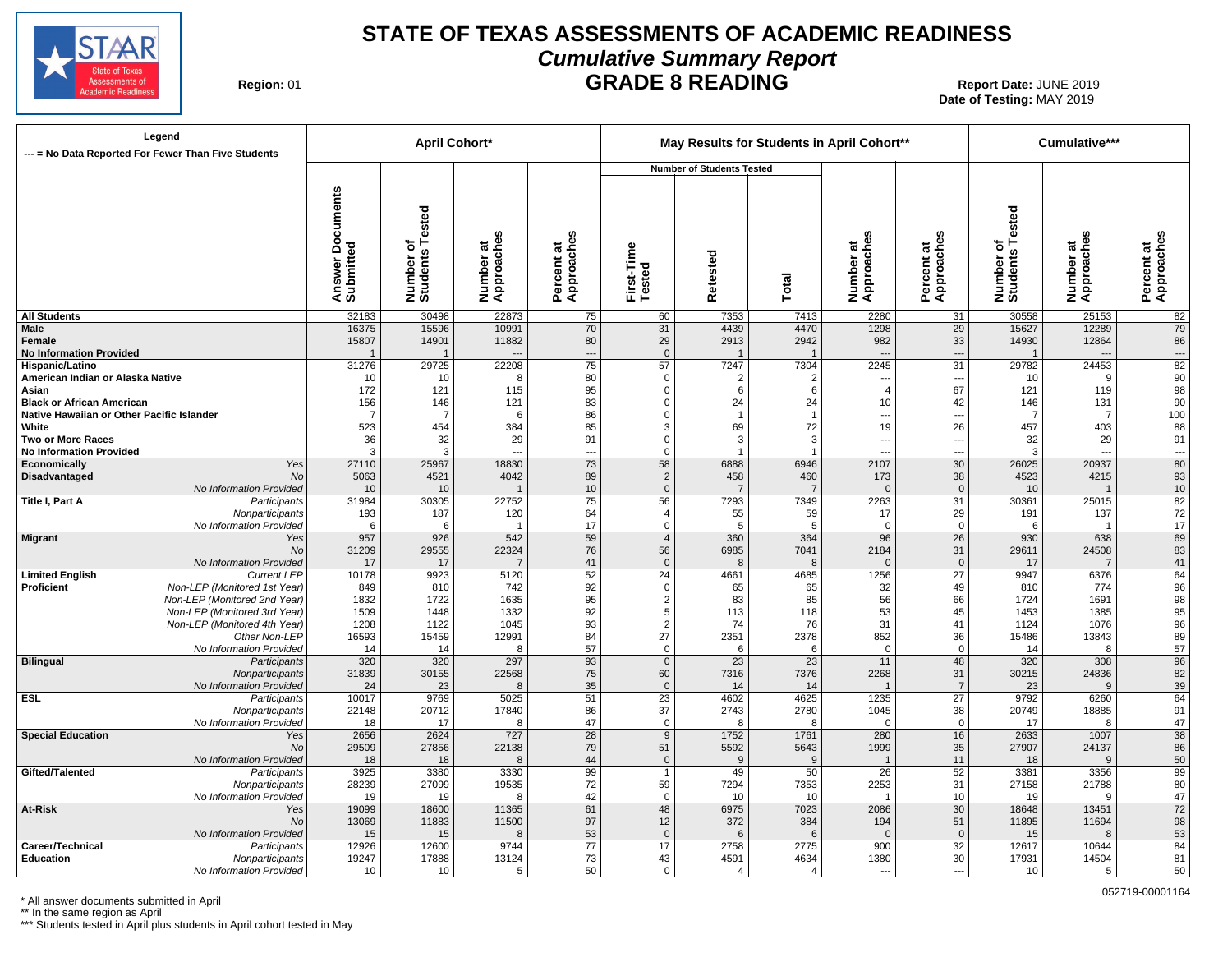

### **STATE OF TEXAS ASSESSMENTS OF ACADEMIC READINESS Cumulative Summary Report GRADE 8 READING** Report Date: JUNE 2019

**Region: 01** 

# **Date of Testing:**  MAY 2019

| --- = No Data Reported For Fewer Than Five Students     | Legend                          |                                            | April Cohort*                |                         |                                |                         |                                  |                    | May Results for Students in April Cohort** |                                 |                              | Cumulative***           |                                      |
|---------------------------------------------------------|---------------------------------|--------------------------------------------|------------------------------|-------------------------|--------------------------------|-------------------------|----------------------------------|--------------------|--------------------------------------------|---------------------------------|------------------------------|-------------------------|--------------------------------------|
|                                                         |                                 |                                            |                              |                         |                                |                         | <b>Number of Students Tested</b> |                    |                                            |                                 |                              |                         |                                      |
|                                                         |                                 | <b>Documents</b><br>Answer Do<br>Submitted | Number of<br>Students Tested | Number at<br>Approaches | w<br>Approache<br>ಕ<br>Percent | First-Time<br>Tested    | Retested                         | Total              | U)<br>Number at<br>Approaches              | n<br>Percent at<br>Approaches   | Number of<br>Students Tested | Number at<br>Approaches | U)<br>Percent at<br>Approaches       |
| <b>All Students</b>                                     |                                 | 32183                                      | 30498                        | 22873                   | 75                             | 60                      | 7353                             | 7413               | 2280                                       | 31                              | 30558                        | 25153                   | 82                                   |
| <b>Male</b><br>Female<br><b>No Information Provided</b> |                                 | 16375<br>15807                             | 15596<br>14901               | 10991<br>11882          | 70<br>80<br>$\overline{a}$     | 31<br>29<br>$\mathbf 0$ | 4439<br>2913                     | 4470<br>2942<br>-1 | 1298<br>982                                | 29<br>33<br>---                 | 15627<br>14930               | 12289<br>12864          | 79<br>86<br>$\overline{\phantom{a}}$ |
| Hispanic/Latino                                         |                                 | 31276                                      | 29725                        | 22208                   | $\overline{75}$                | 57                      | 7247                             | 7304               | 2245                                       | $\overline{31}$                 | 29782                        | 24453                   | $\overline{82}$                      |
| American Indian or Alaska Native                        |                                 | 10                                         | 10                           | 8                       | 80                             | 0                       | $\overline{2}$                   | $\overline{2}$     |                                            | ---                             | 10                           | 9                       | 90                                   |
| Asian                                                   |                                 | 172                                        | 121                          | 115                     | 95                             | $\Omega$                | 6                                | 6                  | $\overline{4}$                             | 67                              | 121                          | 119                     | 98                                   |
| <b>Black or African American</b>                        |                                 | 156                                        | 146                          | 121                     | 83                             | 0                       | 24                               | 24                 | 10                                         | 42                              | 146                          | 131                     | 90                                   |
| Native Hawaiian or Other Pacific Islander               |                                 | $\overline{7}$                             | $\overline{7}$               | 6                       | 86                             | $\Omega$<br>3           | $\overline{1}$                   |                    | ---                                        | $\overline{\phantom{a}}$        |                              | $\overline{7}$          | 100                                  |
| White<br><b>Two or More Races</b>                       |                                 | 523<br>36                                  | 454<br>32                    | 384<br>29               | 85<br>91                       | $\Omega$                | 69<br>3                          | 72<br>3            | 19<br>---                                  | 26                              | 457<br>32                    | 403<br>29               | 88<br>91                             |
| <b>No Information Provided</b>                          |                                 | 3                                          | 3                            | $---$                   | ---                            | $\Omega$                |                                  |                    | ---                                        | $\overline{\phantom{a}}$<br>--- | 3                            | $\overline{a}$          | ---                                  |
| Economically                                            | Yes                             | 27110                                      | 25967                        | 18830                   | 73                             | 58                      | 6888                             | 6946               | 2107                                       | 30                              | 26025                        | 20937                   | 80                                   |
| Disadvantaged                                           | No                              | 5063                                       | 4521                         | 4042                    | 89                             | $\overline{2}$          | 458                              | 460                | 173                                        | 38                              | 4523                         | 4215                    | 93                                   |
|                                                         | No Information Provided         | 10                                         | 10                           | $\overline{1}$          | 10                             | $\Omega$                | $\overline{7}$                   | $\overline{7}$     | $\Omega$                                   | $\overline{0}$                  | 10                           | $\overline{\mathbf{1}}$ | $10$                                 |
| Title I, Part A                                         | Participants                    | 31984                                      | 30305                        | 22752                   | 75                             | 56                      | 7293                             | 7349               | 2263                                       | $\overline{31}$                 | 30361                        | 25015                   | 82                                   |
|                                                         | Nonparticipants                 | 193                                        | 187                          | 120                     | 64                             | $\overline{4}$          | 55                               | 59                 | 17                                         | 29                              | 191                          | 137                     | 72                                   |
|                                                         | No Information Provided         | 6                                          | 6                            |                         | 17                             | $\mathsf 0$             | 5                                | 5                  | $\mathbf 0$                                | $\mathbf 0$                     | 6                            | $\overline{1}$          | 17                                   |
| <b>Migrant</b>                                          | Yes<br>No                       | 957<br>31209                               | 926<br>29555                 | 542<br>22324            | 59<br>76                       | $\overline{4}$<br>56    | 360<br>6985                      | 364<br>7041        | 96<br>2184                                 | 26<br>31                        | 930<br>29611                 | 638<br>24508            | 69<br>83                             |
|                                                         | No Information Provided         | 17                                         | 17                           | $\overline{7}$          | 41                             | $\mathbf 0$             | 8                                | 8                  | $\mathbf 0$                                | $\overline{0}$                  | 17                           | $\overline{7}$          | 41                                   |
| <b>Limited English</b>                                  | <b>Current LEP</b>              | 10178                                      | 9923                         | 5120                    | 52                             | 24                      | 4661                             | 4685               | 1256                                       | 27                              | 9947                         | 6376                    | 64                                   |
| Proficient                                              | Non-LEP (Monitored 1st Year)    | 849                                        | 810                          | 742                     | 92                             | 0                       | 65                               | 65                 | 32                                         | 49                              | 810                          | 774                     | 96                                   |
|                                                         | Non-LEP (Monitored 2nd Year)    | 1832                                       | 1722                         | 1635                    | 95                             | $\overline{2}$          | 83                               | 85                 | 56                                         | 66                              | 1724                         | 1691                    | 98                                   |
|                                                         | Non-LEP (Monitored 3rd Year)    | 1509                                       | 1448                         | 1332                    | 92                             | 5                       | 113                              | 118                | 53                                         | 45                              | 1453                         | 1385                    | 95                                   |
|                                                         | Non-LEP (Monitored 4th Year)    | 1208                                       | 1122                         | 1045                    | 93                             | 2                       | 74                               | 76                 | 31                                         | 41                              | 1124                         | 1076                    | 96                                   |
|                                                         | Other Non-LEP                   | 16593                                      | 15459                        | 12991                   | 84                             | 27                      | 2351                             | 2378               | 852                                        | 36                              | 15486                        | 13843                   | 89                                   |
|                                                         | No Information Provided         | 14                                         | 14                           | 8                       | 57                             | $\mathbf 0$             | 6                                | -6                 | $\mathbf 0$                                | $\Omega$                        | 14                           | $\mathsf{R}$            | 57                                   |
| <b>Bilingual</b>                                        | Participants<br>Nonparticipants | 320<br>31839                               | 320<br>30155                 | 297<br>22568            | 93<br>75                       | $\mathbf 0$<br>60       | 23<br>7316                       | 23<br>7376         | 11<br>2268                                 | 48<br>31                        | 320<br>30215                 | 308<br>24836            | 96<br>82                             |
|                                                         | No Information Provided         | 24                                         | 23                           | 8                       | 35                             | $\mathbf 0$             | 14                               | 14                 | $\overline{1}$                             | $\overline{7}$                  | 23                           | 9                       | 39                                   |
| <b>ESL</b>                                              | Participants                    | 10017                                      | 9769                         | 5025                    | 51                             | 23                      | 4602                             | 4625               | 1235                                       | $\overline{27}$                 | 9792                         | 6260                    | 64                                   |
|                                                         | Nonparticipants                 | 22148                                      | 20712                        | 17840                   | 86                             | 37                      | 2743                             | 2780               | 1045                                       | 38                              | 20749                        | 18885                   | 91                                   |
|                                                         | No Information Provided         | 18                                         | 17                           | 8                       | 47                             | 0                       | 8                                | 8                  | $\mathbf 0$                                | $\overline{0}$                  | 17                           | 8                       | 47                                   |
| <b>Special Education</b>                                | Yes                             | 2656                                       | 2624                         | 727                     | 28                             | 9                       | 1752                             | 1761               | 280                                        | 16                              | 2633                         | 1007                    | 38                                   |
|                                                         | No                              | 29509                                      | 27856                        | 22138                   | 79                             | 51                      | 5592                             | 5643               | 1999                                       | 35                              | 27907                        | 24137                   | 86                                   |
|                                                         | No Information Provided         | 18                                         | 18                           | 8                       | 44                             | $\mathbf{0}$            | $\mathbf{q}$                     | 9                  | $\overline{1}$                             | 11                              | 18                           | $\mathbf{Q}$            | 50                                   |
| Gifted/Talented                                         | Participants<br>Nonparticipants | 3925<br>28239                              | 3380<br>27099                | 3330<br>19535           | 99<br>72                       | $\overline{1}$<br>59    | 49<br>7294                       | 50<br>7353         | 26<br>2253                                 | 52<br>31                        | 3381<br>27158                | 3356<br>21788           | 99<br>80                             |
|                                                         | No Information Provided         | 19                                         | 19                           | 8                       | 42                             | $\mathbf 0$             | 10                               | 10                 | $\overline{1}$                             | 10                              | 19                           | 9                       | 47                                   |
| At-Risk                                                 | Yes                             | 19099                                      | 18600                        | 11365                   | 61                             | 48                      | 6975                             | 7023               | 2086                                       | 30                              | 18648                        | 13451                   | 72                                   |
|                                                         | No                              | 13069                                      | 11883                        | 11500                   | 97                             | 12                      | 372                              | 384                | 194                                        | 51                              | 11895                        | 11694                   | 98                                   |
|                                                         | No Information Provided         | 15                                         | 15                           | 8                       | 53                             | $\mathbf{0}$            | 6                                | 6                  | $\mathbf{0}$                               | $\overline{0}$                  | 15                           | 8                       | 53                                   |
| <b>Career/Technical</b>                                 | Participants                    | 12926                                      | 12600                        | 9744                    | 77                             | 17                      | 2758                             | 2775               | 900                                        | $\overline{32}$                 | 12617                        | 10644                   | 84                                   |
| <b>Education</b>                                        | Nonparticipants                 | 19247                                      | 17888                        | 13124                   | 73                             | 43                      | 4591                             | 4634               | 1380                                       | 30                              | 17931                        | 14504                   | 81                                   |
|                                                         | No Information Provided         | 10                                         | 10                           | 5                       | 50                             | $\Omega$                | $\overline{4}$                   | $\overline{4}$     | $\overline{a}$                             | ---                             | 10                           | 5                       | 50                                   |

\* All answer documents submitted in April

\*\* In the same region as April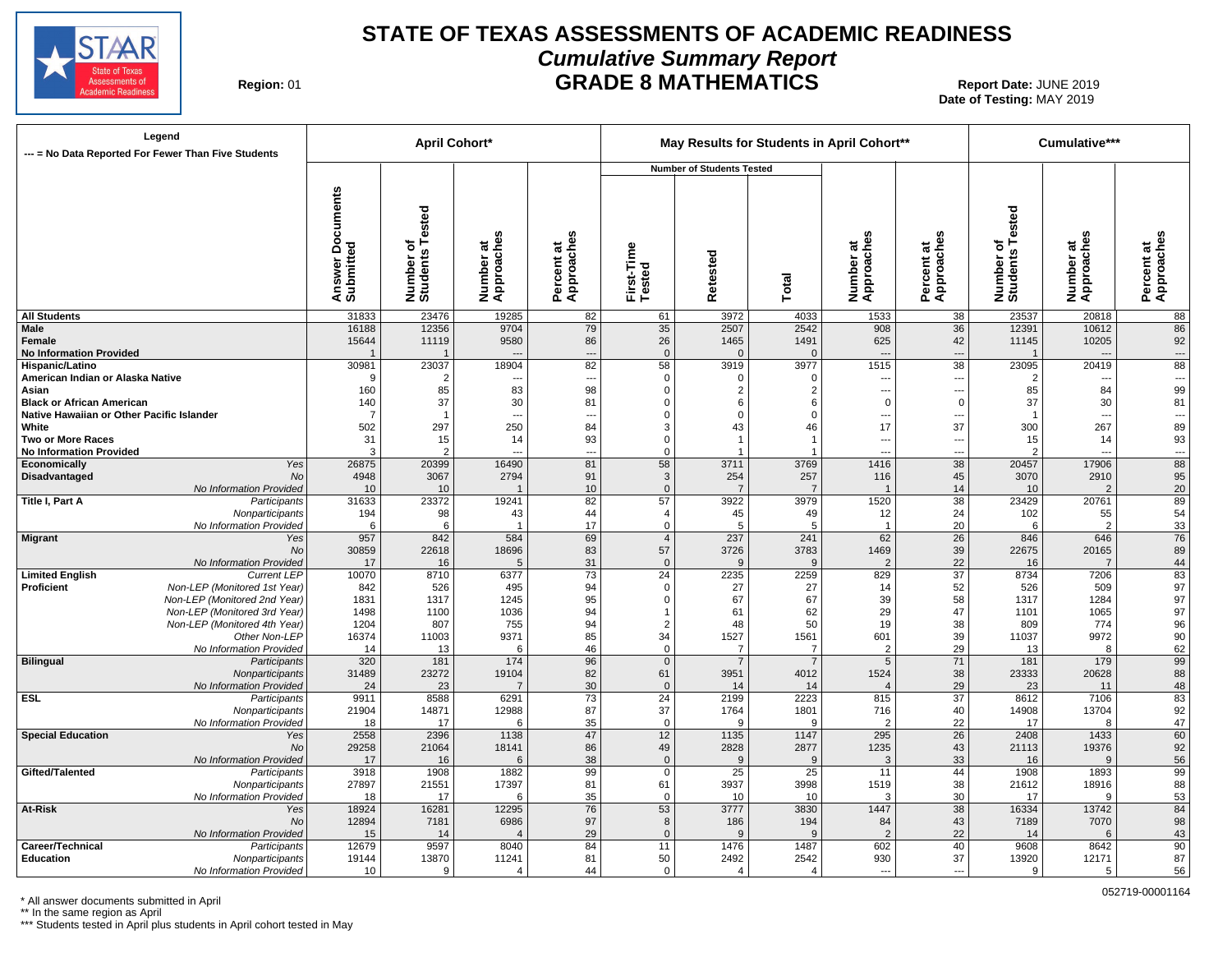

## **STATE OF TEXAS ASSESSMENTS OF ACADEMIC READINESS Cumulative Summary Report GRADE 8 MATHEMATICS** Report Date: JUNE 2019

**Region: 01** 

**Date of Testing:**  MAY 2019

| --- = No Data Reported For Fewer Than Five Students                           | Legend                                        |                                            | <b>April Cohort*</b>                 |                         |                              |                             |                                  |                                  | May Results for Students in April Cohort** |                                            |                              | Cumulative***                    |                                    |
|-------------------------------------------------------------------------------|-----------------------------------------------|--------------------------------------------|--------------------------------------|-------------------------|------------------------------|-----------------------------|----------------------------------|----------------------------------|--------------------------------------------|--------------------------------------------|------------------------------|----------------------------------|------------------------------------|
|                                                                               |                                               |                                            |                                      |                         |                              |                             | <b>Number of Students Tested</b> |                                  |                                            |                                            |                              |                                  |                                    |
|                                                                               |                                               | <b>Documents</b><br>Answer Do<br>Submitted | Tested<br>৳<br>Number of<br>Students | Number at<br>Approaches | m<br>Approache<br>Percent at | First-Time<br>Tested        | Retested                         | Total                            | <b>SC</b><br>Number at<br>Approaches       | Percent at<br>Approaches                   | Number of<br>Students Tested | u.<br>Number at<br>Approaches    | S<br>Percent at<br>Approaches      |
| <b>All Students</b>                                                           |                                               | 31833                                      | 23476                                | 19285                   | 82                           | 61                          | 3972                             | 4033                             | 1533                                       | 38                                         | 23537                        | 20818                            | 88                                 |
| <b>Male</b><br>Female<br><b>No Information Provided</b>                       |                                               | 16188<br>15644                             | 12356<br>11119                       | 9704<br>9580            | 79<br>86<br>$\overline{a}$   | 35<br>26<br>$\mathbf{0}$    | 2507<br>1465<br>$\Omega$         | 2542<br>1491<br>$\Omega$         | 908<br>625<br>$\overline{\phantom{a}}$     | 36<br>42<br>---                            | 12391<br>11145               | 10612<br>10205<br>$\overline{a}$ | 86<br>92<br>$\qquad \qquad \cdots$ |
| <b>Hispanic/Latino</b>                                                        |                                               | 30981                                      | 23037                                | 18904                   | 82                           | 58                          | 3919                             | 3977                             | 1515                                       | $\overline{38}$                            | 23095                        | 20419                            | 88                                 |
| American Indian or Alaska Native                                              |                                               | -9                                         | $\overline{2}$                       | ---                     | --                           | $\mathbf 0$                 | $\mathbf 0$                      | $\Omega$                         | ---                                        | $\overline{\phantom{a}}$                   | $\overline{2}$               | ---                              | $\hspace{0.05cm} \ldots$           |
| Asian                                                                         |                                               | 160                                        | 85                                   | 83                      | 98                           | $\Omega$                    | $\overline{2}$                   | 2                                | ---                                        | ---                                        | 85                           | 84                               | 99                                 |
| <b>Black or African American</b><br>Native Hawaiian or Other Pacific Islander |                                               | 140<br>-7                                  | 37<br>$\overline{1}$                 | 30<br>$\overline{a}$    | 81<br>--                     | $\Omega$<br>$\Omega$        | 6<br>$\Omega$                    | 6<br>$\Omega$                    | $\mathbf 0$<br>---                         | $\overline{0}$<br>$\overline{\phantom{a}}$ | 37                           | 30<br>$\overline{a}$             | 81<br>---                          |
| White                                                                         |                                               | 502                                        | 297                                  | 250                     | 84                           | 3                           | 43                               | 46                               | 17                                         | 37                                         | 300                          | 267                              | 89                                 |
| Two or More Races                                                             |                                               | 31                                         | 15                                   | 14                      | 93                           | $\mathbf 0$                 | $\overline{1}$                   |                                  | ---                                        | $\overline{\phantom{a}}$                   | 15                           | 14                               | 93                                 |
| <b>No Information Provided</b>                                                |                                               | 3                                          | $\overline{2}$                       | $---$                   | ---                          | $\Omega$                    |                                  |                                  | ---                                        | ---                                        |                              | $\overline{a}$                   | ---                                |
| Economically                                                                  | Yes                                           | 26875                                      | 20399                                | 16490                   | 81                           | 58                          | 3711                             | 3769                             | 1416                                       | 38                                         | 20457                        | 17906                            | 88                                 |
| Disadvantaged                                                                 | No                                            | 4948                                       | 3067                                 | 2794                    | 91                           | 3<br>$\Omega$               | 254<br>$\overline{7}$            | 257<br>$\overline{7}$            | 116<br>$\overline{\mathbf{1}}$             | 45                                         | 3070                         | 2910<br>$\mathcal{P}$            | 95                                 |
| Title I, Part A                                                               | No Information Provided<br>Participants       | 10<br>31633                                | 10<br>23372                          | 19241                   | 10<br>82                     | 57                          | 3922                             | 3979                             | 1520                                       | 14<br>$\overline{38}$                      | 10<br>23429                  | 20761                            | 20<br>89                           |
|                                                                               | Nonparticipants                               | 194                                        | 98                                   | 43                      | 44                           | $\overline{4}$              | 45                               | 49                               | 12                                         | 24                                         | 102                          | 55                               | 54                                 |
|                                                                               | No Information Provided                       | 6                                          | 6                                    | -1                      | 17                           | $\mathsf 0$                 | 5                                | 5                                | $\mathbf{1}$                               | 20                                         | 6                            | $\overline{2}$                   | 33                                 |
| <b>Migrant</b>                                                                | Yes                                           | 957                                        | 842                                  | 584                     | 69                           | $\overline{4}$              | 237                              | 241                              | 62                                         | $\overline{26}$                            | 846                          | 646                              | 76                                 |
|                                                                               | No                                            | 30859                                      | 22618                                | 18696                   | 83                           | 57                          | 3726                             | 3783                             | 1469                                       | 39                                         | 22675                        | 20165                            | 89                                 |
| <b>Limited English</b>                                                        | No Information Provided<br><b>Current LEP</b> | 17<br>10070                                | 16<br>8710                           | 5<br>6377               | 31<br>73                     | $\Omega$<br>$\overline{24}$ | 9<br>2235                        | $\mathbf{Q}$<br>2259             | $\overline{2}$<br>829                      | 22<br>$\overline{37}$                      | 16<br>8734                   | $\overline{7}$<br>7206           | 44<br>83                           |
| Proficient                                                                    | Non-LEP (Monitored 1st Year)                  | 842                                        | 526                                  | 495                     | 94                           | $\mathbf 0$                 | 27                               | 27                               | 14                                         | 52                                         | 526                          | 509                              | 97                                 |
|                                                                               | Non-LEP (Monitored 2nd Year)                  | 1831                                       | 1317                                 | 1245                    | 95                           | $\Omega$                    | 67                               | 67                               | 39                                         | 58                                         | 1317                         | 1284                             | 97                                 |
|                                                                               | Non-LEP (Monitored 3rd Year)                  | 1498                                       | 1100                                 | 1036                    | 94                           |                             | 61                               | 62                               | 29                                         | 47                                         | 1101                         | 1065                             | 97                                 |
|                                                                               | Non-LEP (Monitored 4th Year)                  | 1204                                       | 807                                  | 755                     | 94                           | 2                           | 48                               | 50                               | 19                                         | 38                                         | 809                          | 774                              | 96                                 |
|                                                                               | Other Non-LEP                                 | 16374                                      | 11003                                | 9371                    | 85                           | 34                          | 1527                             | 1561                             | 601                                        | 39                                         | 11037                        | 9972                             | $90\,$                             |
|                                                                               | No Information Provided                       | 14<br>320                                  | 13<br>181                            | 6<br>174                | 46<br>96                     | $\mathbf 0$<br>$\mathbf{0}$ | $\overline{7}$<br>$\overline{7}$ | $\overline{7}$<br>$\overline{7}$ | $\overline{2}$<br>$\overline{5}$           | 29<br>$\overline{71}$                      | 13<br>181                    | 8<br>179                         | 62<br>99                           |
| <b>Bilingual</b>                                                              | Participants<br>Nonparticipants               | 31489                                      | 23272                                | 19104                   | 82                           | 61                          | 3951                             | 4012                             | 1524                                       | 38                                         | 23333                        | 20628                            | 88                                 |
|                                                                               | No Information Provided                       | 24                                         | 23                                   | $\overline{7}$          | 30                           | $\mathbf{0}$                | 14                               | 14                               | $\overline{4}$                             | 29                                         | 23                           | 11                               | 48                                 |
| <b>ESL</b>                                                                    | Participants                                  | 9911                                       | 8588                                 | 6291                    | 73                           | 24                          | 2199                             | 2223                             | 815                                        | 37                                         | 8612                         | 7106                             | $\overline{83}$                    |
|                                                                               | Nonparticipants                               | 21904                                      | 14871                                | 12988                   | 87                           | 37                          | 1764                             | 1801                             | 716                                        | 40                                         | 14908                        | 13704                            | 92                                 |
|                                                                               | No Information Provided                       | 18                                         | 17                                   | 6                       | 35                           | $\mathbf 0$                 | 9                                | q                                | $\overline{2}$                             | 22                                         | 17                           | 8                                | 47                                 |
| <b>Special Education</b>                                                      | Yes<br><b>No</b>                              | 2558<br>29258                              | 2396<br>21064                        | 1138<br>18141           | 47<br>86                     | 12<br>49                    | 1135<br>2828                     | 1147<br>2877                     | 295<br>1235                                | $\overline{26}$<br>43                      | 2408<br>21113                | 1433<br>19376                    | 60<br>92                           |
|                                                                               | No Information Provided                       | 17                                         | 16                                   | 6                       | 38                           | $\mathbf 0$                 | 9                                | 9                                | 3                                          | 33                                         | 16                           | 9                                | 56                                 |
| Gifted/Talented                                                               | Participants                                  | 3918                                       | 1908                                 | 1882                    | 99                           | $\mathsf 0$                 | 25                               | 25                               | 11                                         | 44                                         | 1908                         | 1893                             | 99                                 |
|                                                                               | Nonparticipants                               | 27897                                      | 21551                                | 17397                   | 81                           | 61                          | 3937                             | 3998                             | 1519                                       | 38                                         | 21612                        | 18916                            | 88                                 |
|                                                                               | No Information Provided                       | 18                                         | 17                                   | 6                       | 35                           | $\mathbf 0$                 | 10                               | 10                               | 3                                          | 30                                         | 17                           | <sub>9</sub>                     | 53                                 |
| At-Risk                                                                       | Yes                                           | 18924                                      | 16281                                | 12295                   | 76                           | 53                          | 3777                             | 3830                             | 1447                                       | 38                                         | 16334                        | 13742                            | 84                                 |
|                                                                               | <b>No</b><br>No Information Provided          | 12894<br>15                                | 7181<br>14                           | 6986<br>$\overline{4}$  | 97<br>29                     | 8<br>$\mathbf{0}$           | 186<br>9                         | 194<br>9                         | 84<br>2                                    | 43<br>22                                   | 7189<br>14                   | 7070<br>6                        | 98<br>43                           |
| Career/Technical                                                              | Participants                                  | 12679                                      | 9597                                 | 8040                    | 84                           | 11                          | 1476                             | 1487                             | 602                                        | 40                                         | 9608                         | 8642                             | 90                                 |
| Education                                                                     | Nonparticipants                               | 19144                                      | 13870                                | 11241                   | 81                           | 50                          | 2492                             | 2542                             | 930                                        | 37                                         | 13920                        | 12171                            | 87                                 |
|                                                                               | No Information Provided                       | 10                                         | $\mathbf{Q}$                         | $\overline{4}$          | 44                           | $\Omega$                    |                                  | $\overline{4}$                   | $\overline{\phantom{a}}$                   | ---                                        | 9                            | 5                                | 56                                 |

\* All answer documents submitted in April

\*\* In the same region as April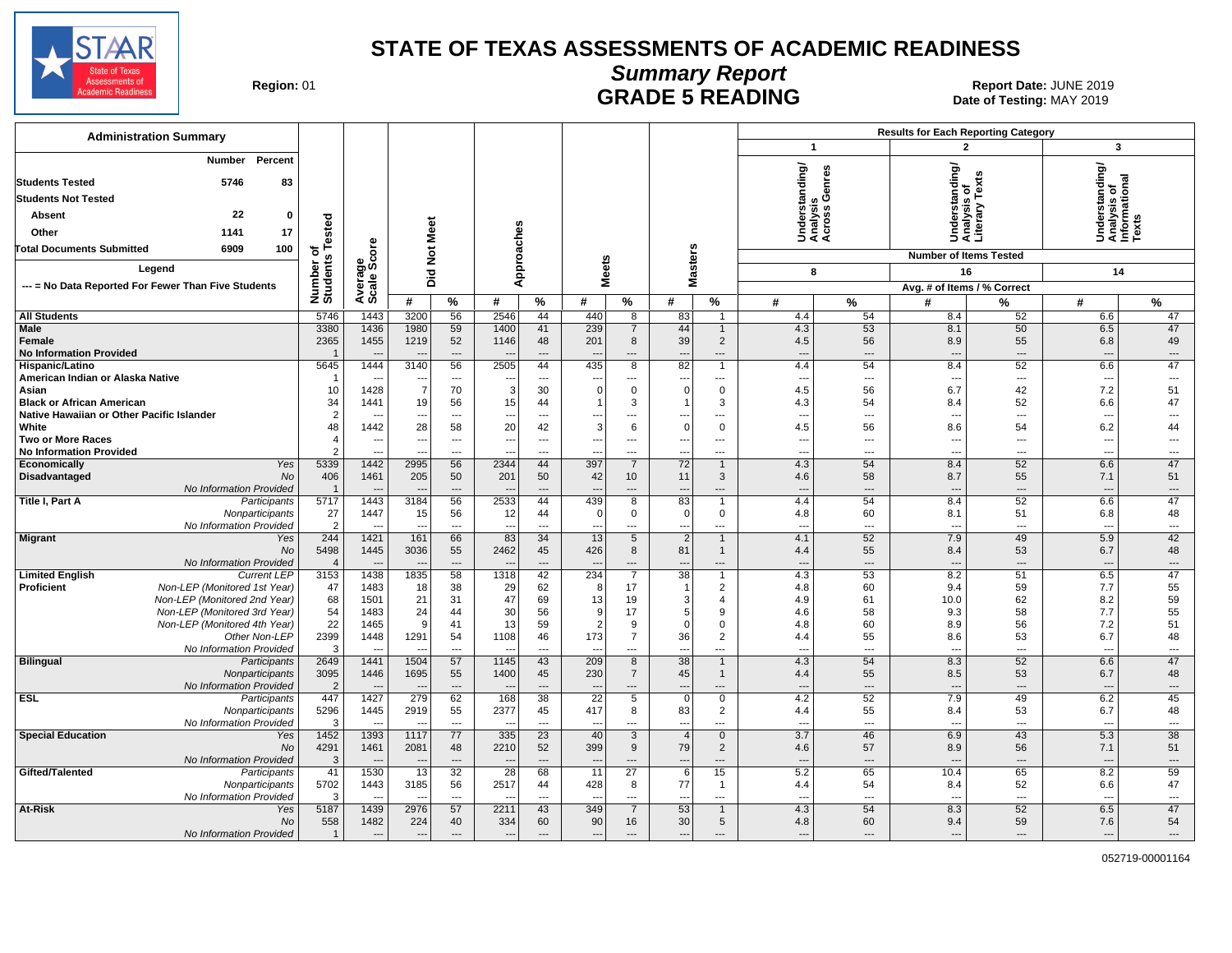

# **Summary Report**

Region: 01 **Region: 01 CALL CONSISTS AND CONTROLL SETS ARE SETS AND EXAMPLE 5 READING Report Date: JUNE 2019** Date of Testing: MAY 2019

| <b>Administration Summary</b>                                                     |                        |                                  |                       |                          |                                |                                |                          |                                  |                                      |                                  |                                             | <b>Results for Each Reporting Category</b> |                                             |                                |                                                |                                |
|-----------------------------------------------------------------------------------|------------------------|----------------------------------|-----------------------|--------------------------|--------------------------------|--------------------------------|--------------------------|----------------------------------|--------------------------------------|----------------------------------|---------------------------------------------|--------------------------------------------|---------------------------------------------|--------------------------------|------------------------------------------------|--------------------------------|
|                                                                                   |                        |                                  |                       |                          |                                |                                |                          |                                  |                                      |                                  | $\mathbf{1}$                                |                                            |                                             |                                | 3                                              |                                |
| Percent<br><b>Number</b>                                                          |                        |                                  |                       |                          |                                |                                |                          |                                  |                                      |                                  | Understanding/<br>Analysis<br>Across Genres |                                            | nderstanding/<br>nalysis of<br>terary Texts |                                | Understanding/<br>Analysis of<br>Informational |                                |
| <b>Students Tested</b><br>5746<br>83                                              |                        |                                  |                       |                          |                                |                                |                          |                                  |                                      |                                  |                                             |                                            |                                             |                                |                                                |                                |
| <b>Students Not Tested</b>                                                        |                        |                                  |                       |                          |                                |                                |                          |                                  |                                      |                                  |                                             |                                            |                                             |                                |                                                |                                |
| 22<br>Absent<br>$\mathbf{0}$                                                      |                        |                                  |                       |                          |                                |                                |                          |                                  |                                      |                                  |                                             |                                            |                                             |                                |                                                |                                |
| 17<br>Other<br>1141                                                               |                        |                                  |                       |                          |                                |                                |                          |                                  |                                      |                                  |                                             |                                            | SES                                         |                                |                                                |                                |
| 100<br><b>Total Documents Submitted</b><br>6909                                   | Tested<br>৳            | ge<br>Score                      | Not Meet              |                          | Approaches                     |                                |                          |                                  |                                      |                                  |                                             |                                            |                                             |                                |                                                |                                |
|                                                                                   | Number of<br>Students  |                                  |                       |                          |                                |                                |                          |                                  | <b>Masters</b>                       |                                  |                                             |                                            | <b>Number of Items Tested</b>               |                                |                                                |                                |
| Legend                                                                            |                        |                                  | Did                   |                          |                                |                                | <b>Meets</b>             |                                  |                                      |                                  | 8                                           |                                            | 16                                          |                                | 14                                             |                                |
| --- = No Data Reported For Fewer Than Five Students                               |                        | Average:                         |                       |                          |                                |                                |                          |                                  |                                      |                                  |                                             |                                            | Avg. # of Items / % Correct                 |                                |                                                |                                |
|                                                                                   |                        |                                  | #                     | %                        | #                              | %                              | #                        | $\%$                             | #                                    | %                                | #                                           | $\%$                                       | #                                           | %                              | #                                              | %                              |
| <b>All Students</b><br><b>Male</b>                                                | 5746<br>3380           | 1443<br>1436                     | 3200<br>1980          | 56<br>59                 | 2546<br>1400                   | 44<br>41                       | 440<br>239               | 8<br>7                           | 83<br>44                             | $\mathbf{1}$<br>$\mathbf{1}$     | 4.4<br>4.3                                  | 54<br>53                                   | 8.4<br>8.1                                  | 52<br>50                       | 6.6<br>6.5                                     | 47<br>47                       |
| Female                                                                            | 2365                   | 1455                             | 1219                  | 52                       | 1146                           | 48                             | 201                      | 8                                | 39                                   | $\overline{2}$                   | 4.5                                         | 56                                         | 8.9                                         | 55                             | 6.8                                            | 49                             |
| <b>No Information Provided</b>                                                    | $\overline{1}$         |                                  |                       | $\sim$                   | $\overline{\phantom{a}}$       | $---$                          | $\sim$                   | ---                              | $\overline{a}$                       | $\overline{a}$                   | $---$                                       | $---$                                      | $\overline{a}$                              | $---$                          | ---                                            | $---$                          |
| Hispanic/Latino                                                                   | 5645                   | 1444                             | 3140                  | 56                       | 2505                           | 44                             | 435                      | 8                                | $\overline{82}$                      | $\mathbf{1}$                     | 4.4                                         | 54                                         | 8.4                                         | 52                             | 6.6                                            | 47                             |
| American Indian or Alaska Native                                                  | 1                      |                                  |                       | $\hspace{0.05cm} \ldots$ | --<br>-3                       | $\hspace{0.05cm} \ldots$       | $\Omega$                 | ---                              | $\overline{\phantom{a}}$<br>$\Omega$ | $\cdots$                         | $\overline{\phantom{a}}$                    | $\hspace{0.05cm} \ldots$                   | $\overline{\phantom{a}}$                    | $\hspace{0.05cm} \ldots$       | $\sim$                                         | ---                            |
| Asian<br><b>Black or African American</b>                                         | 10<br>34               | 1428<br>1441                     | $\overline{7}$<br>19  | 70<br>56                 | 15                             | 30<br>44                       |                          | $\mathbf 0$<br>3                 |                                      | $\mathbf 0$<br>3                 | 4.5<br>4.3                                  | 56<br>54                                   | 6.7<br>8.4                                  | 42<br>52                       | 7.2<br>6.6                                     | 51<br>47                       |
| Native Hawaiian or Other Pacific Islander                                         | $\overline{2}$         |                                  | ---                   | $\overline{\phantom{a}}$ | ---                            | $\overline{\phantom{a}}$       | --                       | ---                              | $\overline{a}$                       | $\overline{\phantom{a}}$         | $\overline{\phantom{a}}$                    | ---                                        | $\overline{a}$                              | ---                            | $\overline{\phantom{a}}$                       | $\overline{\phantom{a}}$       |
| White                                                                             | 48                     | 1442                             | 28                    | 58                       | 20                             | 42                             | 3                        | 6                                | $\Omega$                             | $\mathbf 0$                      | 4.5                                         | 56                                         | 8.6                                         | 54                             | 6.2                                            | 44                             |
| <b>Two or More Races</b>                                                          | 4                      | $\overline{\phantom{a}}$         | ---                   | $\overline{\phantom{a}}$ | ÷.,                            | ---                            | $\overline{a}$           | ---                              | ---                                  | $\overline{a}$                   | $\overline{\phantom{a}}$                    | ---                                        | $\overline{a}$                              | ---                            | $\overline{\phantom{a}}$                       | $\overline{\phantom{a}}$       |
| <b>No Information Provided</b><br>Economically<br>Yes                             | $\mathfrak{p}$<br>5339 | $\overline{\phantom{a}}$<br>1442 | ---<br>2995           | $\overline{a}$<br>56     | --<br>2344                     | $\sim$<br>44                   | $\overline{a}$<br>397    | ---<br>7                         | $\overline{\phantom{a}}$<br>72       | $\overline{a}$<br>$\mathbf{1}$   | $\overline{\phantom{a}}$<br>4.3             | ---<br>54                                  | ---<br>8.4                                  | $---$<br>52                    | ---<br>6.6                                     | ---<br>47                      |
| Disadvantaged<br>No                                                               | 406                    | 1461                             | 205                   | 50                       | 201                            | 50                             | 42                       | 10 <sup>°</sup>                  | 11                                   | 3                                | 4.6                                         | 58                                         | 8.7                                         | 55                             | 7.1                                            | 51                             |
| No Information Provided                                                           | $\overline{1}$         |                                  |                       | $---$                    |                                | $\overline{\phantom{a}}$       | $\overline{a}$           | ---                              | $\overline{\phantom{a}}$             | $\overline{a}$                   | $\overline{\phantom{a}}$                    | $\overline{a}$                             | $\overline{a}$                              | $\overline{\phantom{a}}$       | ---                                            | $\overline{\phantom{a}}$       |
| Title I, Part A<br>Participants                                                   | 5717                   | 1443                             | 3184                  | 56                       | 2533                           | 44                             | 439                      | 8                                | 83                                   | $\mathbf{1}$                     | 4.4                                         | 54                                         | 8.4                                         | 52                             | 6.6                                            | 47                             |
| Nonparticipants                                                                   | 27                     | 1447                             | 15                    | 56                       | 12                             | 44                             | $\Omega$                 | $\mathbf 0$                      | $\mathbf 0$                          | $\mathsf{O}$                     | 4.8                                         | 60                                         | 8.1                                         | 51                             | 6.8                                            | 48                             |
| No Information Provided<br><b>Migrant</b><br>Yes                                  | $\overline{2}$<br>244  | $\overline{\phantom{a}}$<br>1421 | $\overline{a}$<br>161 | $\overline{a}$<br>66     | $\overline{\phantom{a}}$<br>83 | $\overline{\phantom{a}}$<br>34 | $\overline{a}$<br>13     | $\overline{a}$<br>5              | ---<br>$\overline{2}$                | $\overline{a}$<br>$\mathbf{1}$   | $\overline{\phantom{a}}$<br>4.1             | $\overline{a}$<br>52                       | $\overline{a}$<br>7.9                       | $\overline{\phantom{a}}$<br>49 | $\overline{\phantom{a}}$<br>5.9                | $\hspace{0.05cm} \ldots$<br>42 |
| <b>No</b>                                                                         | 5498                   | 1445                             | 3036                  | 55                       | 2462                           | 45                             | 426                      | 8                                | 81                                   | $\mathbf{1}$                     | 4.4                                         | 55                                         | 8.4                                         | 53                             | 6.7                                            | 48                             |
| No Information Provided                                                           | $\overline{4}$         |                                  |                       | $\overline{\phantom{a}}$ | $\overline{\phantom{a}}$       | $\overline{\phantom{a}}$       | $\overline{\phantom{a}}$ | ---                              | $\overline{\phantom{a}}$             | $---$                            | $\overline{a}$                              | $\overline{\phantom{a}}$                   | $\overline{\phantom{a}}$                    | $\overline{\phantom{a}}$       | $\overline{\phantom{a}}$                       | $\hspace{1.5cm} \cdots$        |
| <b>Limited English</b><br><b>Current LEP</b>                                      | 3153                   | 1438                             | 1835                  | 58                       | 1318                           | 42                             | 234                      | 7                                | 38                                   | $\mathbf{1}$                     | 4.3                                         | 53                                         | 8.2                                         | 51                             | 6.5                                            | 47                             |
| <b>Proficient</b><br>Non-LEP (Monitored 1st Year)<br>Non-LEP (Monitored 2nd Year) | 47<br>68               | 1483<br>1501                     | 18<br>21              | 38<br>31                 | 29<br>47                       | 62<br>69                       | 8<br>13                  | 17<br>19                         | -1<br>3                              | $\overline{2}$<br>$\overline{4}$ | 4.8<br>4.9                                  | 60<br>61                                   | 9.4<br>10.0                                 | 59<br>62                       | 7.7<br>8.2                                     | 55<br>59                       |
| Non-LEP (Monitored 3rd Year)                                                      | 54                     | 1483                             | 24                    | 44                       | 30                             | 56                             | 9                        | 17                               | 5                                    | 9                                | 4.6                                         | 58                                         | 9.3                                         | 58                             | 7.7                                            | 55                             |
| Non-LEP (Monitored 4th Year)                                                      | 22                     | 1465                             | 9                     | 41                       | 13                             | 59                             | 2                        | 9                                | $\Omega$                             | $\mathbf 0$                      | 4.8                                         | 60                                         | 8.9                                         | 56                             | 7.2                                            | 51                             |
| Other Non-LEP                                                                     | 2399                   | 1448                             | 1291                  | 54                       | 1108                           | 46                             | 173                      | $\overline{7}$                   | 36                                   | $\overline{2}$                   | 4.4                                         | 55                                         | 8.6                                         | 53                             | 6.7                                            | 48                             |
| No Information Provided                                                           | 3                      | $\overline{\phantom{a}}$         |                       | $\overline{\phantom{a}}$ |                                | ---                            |                          | ---                              | $\overline{\phantom{a}}$             | $\overline{a}$                   | $\overline{\phantom{a}}$                    | ---                                        | ---                                         | $\overline{\phantom{a}}$       | $\overline{\phantom{a}}$                       | $\qquad \qquad \cdots$         |
| <b>Bilingual</b><br>Participants<br>Nonparticipants                               | 2649<br>3095           | 1441<br>1446                     | 1504<br>1695          | 57<br>55                 | 1145<br>1400                   | 43<br>45                       | 209<br>230               | $\overline{8}$<br>$\overline{7}$ | $\overline{38}$<br>45                | $\mathbf{1}$<br>$\mathbf{1}$     | 4.3<br>4.4                                  | 54<br>55                                   | 8.3<br>8.5                                  | 52<br>53                       | 6.6<br>6.7                                     | 47<br>48                       |
| No Information Provided                                                           | $\overline{2}$         | щ.                               |                       | $\qquad \qquad \cdots$   |                                | $\overline{\phantom{a}}$       |                          | $\overline{a}$                   | $\overline{a}$                       | $---$                            | $\overline{\phantom{a}}$                    | $---$                                      | $\overline{a}$                              | $\overline{\phantom{a}}$       | ---                                            | $\overline{\phantom{a}}$       |
| <b>ESL</b><br>Participants                                                        | 447                    | 1427                             | 279                   | 62                       | 168                            | 38                             | $\overline{22}$          | 5                                | $\mathbf 0$                          | $\mathbf 0$                      | 4.2                                         | 52                                         | 7.9                                         | 49                             | 6.2                                            | 45                             |
| Nonparticipants                                                                   | 5296                   | 1445                             | 2919                  | 55                       | 2377                           | 45                             | 417                      | 8                                | 83                                   | $\overline{2}$                   | 4.4                                         | 55                                         | 8.4                                         | 53                             | 6.7                                            | 48                             |
| No Information Provided                                                           | 3                      | $\sim$                           | ---                   | $\overline{a}$           | $\sim$                         | $\overline{\phantom{a}}$       | $\overline{\phantom{a}}$ | ---                              | $\overline{a}$                       | $\overline{a}$                   | $---$                                       | $\sim$                                     | $\overline{a}$                              | $\overline{\phantom{a}}$       | $\sim$                                         | $\overline{a}$                 |
| <b>Special Education</b><br>Yes<br>No                                             | 1452<br>4291           | 1393<br>1461                     | 1117<br>2081          | 77<br>48                 | 335<br>2210                    | 23<br>52                       | 40<br>399                | 3<br>9                           | $\overline{4}$<br>79                 | $\mathbf 0$<br>$\overline{2}$    | 3.7<br>4.6                                  | 46<br>57                                   | 6.9<br>8.9                                  | 43<br>56                       | 5.3<br>7.1                                     | 38<br>51                       |
| No Information Provided                                                           | $\mathbf{3}$           |                                  |                       | $\overline{a}$           | $\overline{\phantom{a}}$       | $\overline{a}$                 |                          | $\overline{a}$                   | $\overline{\phantom{a}}$             | $-$                              | $\overline{\phantom{a}}$                    | $\overline{a}$                             |                                             | $\overline{\phantom{a}}$       | $\overline{a}$                                 | $\overline{a}$                 |
| Gifted/Talented<br>Participants                                                   | 41                     | 1530                             | 13                    | 32                       | 28                             | 68                             | 11                       | 27                               | 6                                    | 15                               | 5.2                                         | 65                                         | 10.4                                        | 65                             | 8.2                                            | 59                             |
| Nonparticipants                                                                   | 5702                   | 1443                             | 3185                  | 56                       | 2517                           | 44                             | 428                      | 8                                | 77                                   | $\mathbf{1}$                     | 4.4                                         | 54                                         | 8.4                                         | 52                             | 6.6                                            | 47                             |
| No Information Provided                                                           | 3<br>5187              | 1439                             |                       | $\overline{a}$<br>57     | 2211                           | $\overline{a}$<br>43           | 349                      | ---                              | $\overline{\phantom{a}}$<br>53       | $\overline{a}$<br>$\mathbf{1}$   | $\overline{\phantom{a}}$<br>4.3             | $\overline{a}$<br>54                       | $\overline{a}$                              | ---<br>52                      | $\overline{\phantom{a}}$<br>6.5                | $\overline{a}$<br>47           |
| At-Risk<br>Yes<br>No                                                              | 558                    | 1482                             | 2976<br>224           | 40                       | 334                            | 60                             | 90                       | $\overline{7}$<br>16             | 30                                   | 5                                | 4.8                                         | 60                                         | 8.3<br>9.4                                  | 59                             | 7.6                                            | 54                             |
| No Information Provided                                                           | $\overline{1}$         |                                  |                       | $\overline{a}$           |                                | $---$                          |                          |                                  | $\overline{a}$                       |                                  |                                             | ---                                        | $\overline{a}$                              | $\overline{a}$                 | ---                                            | $\overline{a}$                 |
|                                                                                   |                        |                                  |                       |                          |                                |                                |                          |                                  |                                      |                                  |                                             |                                            |                                             |                                |                                                |                                |

052719-00001164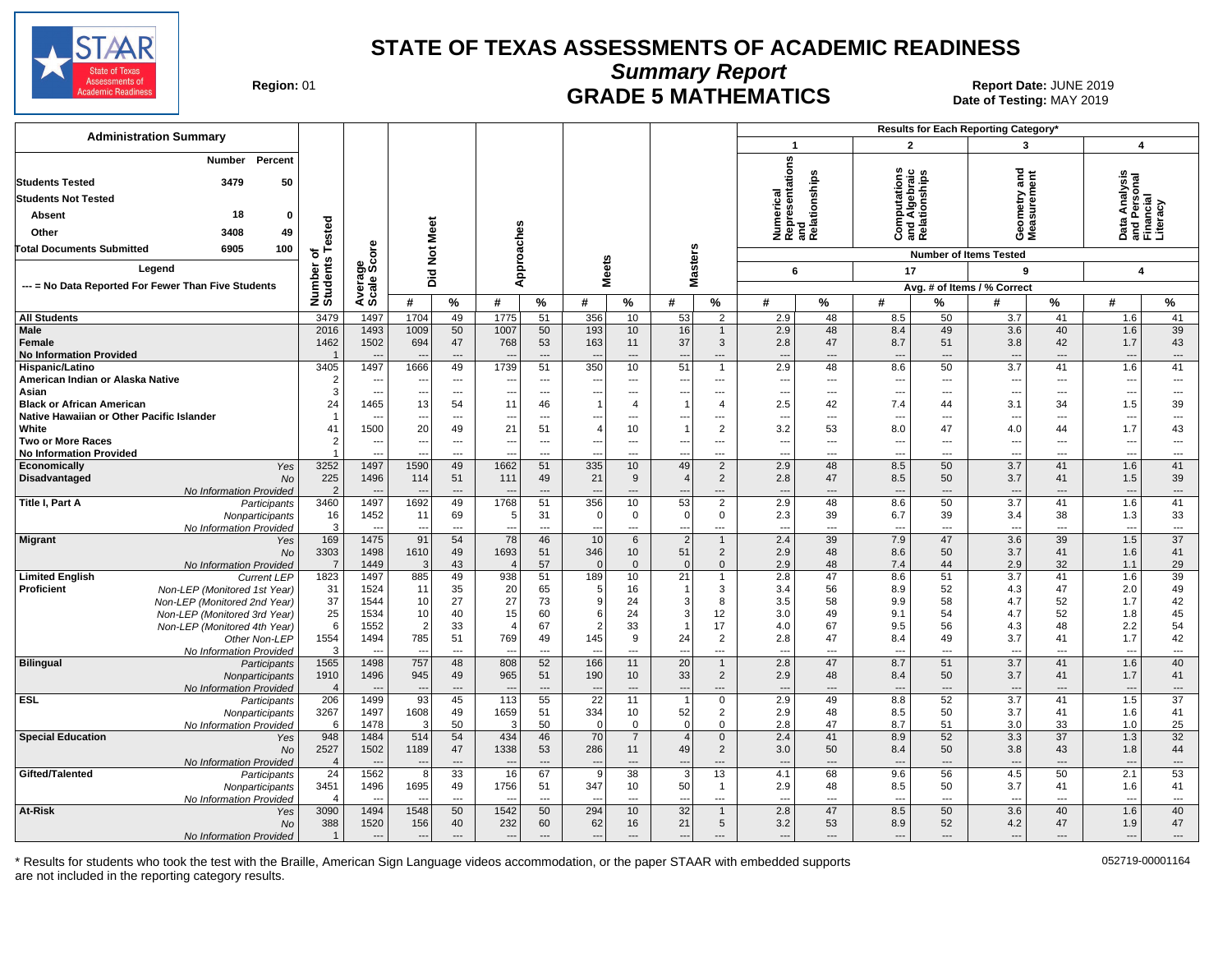

**Summary Report**

**GRADE 5 MATHEMATICS Date: JUNE 2019 Report Date: JUNE 2019 CRADE 5 MATHEMATICS** Date of Testing: MAY 2019

| <b>Administration Summary</b>                                    |                         |                                  |                                 |                                |                                 |                                |                                 |                 |                                            |                                |                                                      |                | Results for Each Reporting Category* |                                |                                            |                                |                                                                                                                                                                                                                                                                                                                          |                                             |
|------------------------------------------------------------------|-------------------------|----------------------------------|---------------------------------|--------------------------------|---------------------------------|--------------------------------|---------------------------------|-----------------|--------------------------------------------|--------------------------------|------------------------------------------------------|----------------|--------------------------------------|--------------------------------|--------------------------------------------|--------------------------------|--------------------------------------------------------------------------------------------------------------------------------------------------------------------------------------------------------------------------------------------------------------------------------------------------------------------------|---------------------------------------------|
|                                                                  |                         |                                  |                                 |                                |                                 |                                |                                 |                 |                                            |                                | $\mathbf{1}$                                         |                | $\overline{2}$                       |                                | 3                                          |                                | $\overline{\mathbf{4}}$                                                                                                                                                                                                                                                                                                  |                                             |
| Percent<br><b>Number</b><br>50<br><b>Students Tested</b><br>3479 |                         |                                  |                                 |                                |                                 |                                |                                 |                 |                                            |                                | Numerical<br>Representations<br>and<br>Relationships |                |                                      | and Algebraic<br>Relationships | ठ<br>ēπ<br>Ĕ                               |                                | Analysis                                                                                                                                                                                                                                                                                                                 |                                             |
| <b>Students Not Tested</b>                                       |                         |                                  |                                 |                                |                                 |                                |                                 |                 |                                            |                                |                                                      |                |                                      |                                |                                            |                                | rsonal<br>ial                                                                                                                                                                                                                                                                                                            |                                             |
| 18<br>$\mathbf{0}$<br>Absent                                     |                         |                                  |                                 |                                |                                 |                                |                                 |                 |                                            |                                |                                                      |                |                                      |                                | eometry<br>leasurem                        |                                | ڇ                                                                                                                                                                                                                                                                                                                        |                                             |
|                                                                  | ested                   |                                  |                                 |                                |                                 |                                |                                 |                 |                                            |                                |                                                      |                |                                      |                                |                                            |                                | $\frac{1}{6}$ $\frac{1}{6}$ $\frac{1}{6}$ $\frac{1}{6}$ $\frac{1}{6}$ $\frac{1}{6}$ $\frac{1}{6}$ $\frac{1}{6}$ $\frac{1}{6}$ $\frac{1}{6}$ $\frac{1}{6}$ $\frac{1}{6}$ $\frac{1}{6}$ $\frac{1}{6}$ $\frac{1}{6}$ $\frac{1}{6}$ $\frac{1}{6}$ $\frac{1}{6}$ $\frac{1}{6}$ $\frac{1}{6}$ $\frac{1}{6}$ $\frac{1}{6}$<br>ত |                                             |
| 3408<br>49<br>Other                                              |                         |                                  |                                 |                                |                                 |                                |                                 |                 |                                            |                                |                                                      |                | o                                    |                                | ÒΣ                                         |                                | ۵                                                                                                                                                                                                                                                                                                                        |                                             |
| 6905<br>100<br><b>Total Documents Submitted</b>                  | 하<br>w                  | δã                               | <b>Not Meet</b>                 |                                |                                 |                                |                                 |                 |                                            |                                |                                                      |                |                                      |                                | <b>Number of Items Tested</b>              |                                |                                                                                                                                                                                                                                                                                                                          |                                             |
| Legend                                                           |                         |                                  |                                 |                                | Approaches                      |                                | <b>Meets</b>                    |                 | <b>Masters</b>                             |                                | 6                                                    |                | 17                                   |                                | 9                                          |                                | $\boldsymbol{4}$                                                                                                                                                                                                                                                                                                         |                                             |
| --- = No Data Reported For Fewer Than Five Students              |                         |                                  | Did                             |                                |                                 |                                |                                 |                 |                                            |                                |                                                      |                |                                      |                                | Avg. # of Items / % Correct                |                                |                                                                                                                                                                                                                                                                                                                          |                                             |
|                                                                  | Number<br>Students      | Average<br>Scale Scc             | #                               | %                              | #                               | %                              | #                               | %               | #                                          | $\%$                           | #                                                    | %              | #                                    | %                              | #                                          | $\%$                           | #                                                                                                                                                                                                                                                                                                                        | $\%$                                        |
| <b>All Students</b>                                              | 3479                    | 1497                             | 1704                            | 49                             | 1775                            | 51                             | 356                             | 10              | 53                                         | $\overline{2}$                 | 2.9                                                  | 48             | 8.5                                  | 50                             | 3.7                                        | 41                             | 1.6                                                                                                                                                                                                                                                                                                                      | 41                                          |
| Male                                                             | 2016                    | 1493                             | 1009                            | 50                             | 1007                            | 50                             | 193                             | 10              | 16                                         | $\mathbf{1}$                   | 2.9                                                  | 48             | 8.4                                  | 49                             | 3.6                                        | 40                             | 1.6                                                                                                                                                                                                                                                                                                                      | 39                                          |
| Female                                                           | 1462                    | 1502                             | 694                             | 47                             | 768                             | 53                             | 163                             | 11              | 37                                         | $\mathbf{3}$                   | 2.8                                                  | 47             | 8.7                                  | 51                             | 3.8                                        | 42                             | 1.7                                                                                                                                                                                                                                                                                                                      | 43                                          |
| <b>No Information Provided</b>                                   |                         |                                  |                                 | $\qquad \qquad \cdots$         |                                 | $\overline{\phantom{a}}$       |                                 | ---             | $\overline{\phantom{a}}$                   | ---                            | $\overline{\phantom{a}}$                             | $\overline{a}$ | $\overline{\phantom{a}}$             | $\overline{a}$                 | $\overline{\phantom{a}}$                   | $\overline{a}$                 | $\overline{\phantom{a}}$                                                                                                                                                                                                                                                                                                 | $\qquad \qquad \cdots$                      |
| Hispanic/Latino                                                  | 3405                    | 1497                             | 1666                            | 49                             | 1739                            | 51                             | 350                             | 10              | 51                                         | $\mathbf{1}$                   | 2.9                                                  | 48             | 8.6                                  | 50                             | $\overline{3.7}$                           | 41                             | 1.6                                                                                                                                                                                                                                                                                                                      | 41                                          |
| American Indian or Alaska Native<br>Asian                        | 3                       | $\overline{a}$<br>$\overline{a}$ | $\overline{\phantom{a}}$<br>--- | ---<br>$\overline{a}$          | ---                             | ---<br>$\overline{a}$          | ---                             | ---<br>---      | ---                                        | ---<br>---                     | $\overline{\phantom{a}}$<br>$\overline{a}$           | ---<br>---     | $\overline{\phantom{a}}$<br>$---$    | ---<br>$\overline{a}$          | $\overline{\phantom{a}}$<br>$\overline{a}$ | $---$<br>$\overline{a}$        | $\overline{\phantom{a}}$<br>---                                                                                                                                                                                                                                                                                          | $\overline{\phantom{a}}$<br>$---$           |
| <b>Black or African American</b>                                 | 24                      | 1465                             | 13                              | 54                             | 11                              | 46                             |                                 | $\overline{4}$  | 1                                          | $\overline{4}$                 | 2.5                                                  | 42             | 7.4                                  | 44                             | 3.1                                        | 34                             | 1.5                                                                                                                                                                                                                                                                                                                      | 39                                          |
| Native Hawaiian or Other Pacific Islander                        | -1                      | $---$                            | $\sim$                          | $---$                          | ---                             | $\overline{a}$                 | $\overline{a}$                  | $\overline{a}$  | $---$                                      | ---                            | $\sim$                                               | ---            | $\sim$                               | $\overline{a}$                 | $\sim$                                     | $---$                          | $\overline{\phantom{a}}$                                                                                                                                                                                                                                                                                                 | $\hspace{0.05cm} \ldots$                    |
| White                                                            | 41                      | 1500                             | 20                              | 49                             | 21                              | 51                             | 4                               | 10              | $\mathbf{1}$                               | $\overline{2}$                 | 3.2                                                  | 53             | 8.0                                  | 47                             | 4.0                                        | 44                             | 1.7                                                                                                                                                                                                                                                                                                                      | 43                                          |
| <b>Two or More Races</b>                                         | $\mathfrak{p}$          | $\overline{a}$                   | $\overline{\phantom{a}}$        | $\overline{a}$                 |                                 | $\overline{a}$                 |                                 | ---             | ---                                        | ---                            | $\sim$                                               | ---            | ---                                  | $\overline{a}$                 | $\overline{\phantom{a}}$                   | ---                            | $\overline{\phantom{a}}$                                                                                                                                                                                                                                                                                                 | $\overline{\phantom{a}}$                    |
| <b>No Information Provided</b><br>Economically<br>Yes            | 3252                    | ---<br>1497                      | 1590                            | ---<br>49                      | 1662                            | ---<br>51                      | 335                             | ---<br>10       | ---<br>49                                  | ---<br>$\overline{2}$          | $\sim$<br>2.9                                        | ---<br>48      | ---<br>8.5                           | ---<br>50                      | $\overline{\phantom{a}}$<br>3.7            | $\overline{\phantom{a}}$<br>41 | ---<br>1.6                                                                                                                                                                                                                                                                                                               | ---<br>41                                   |
| Disadvantaged<br><b>No</b>                                       | 225                     | 1496                             | 114                             | 51                             | 111                             | 49                             | 21                              | 9               | $\overline{4}$                             | $\overline{2}$                 | 2.8                                                  | 47             | 8.5                                  | 50                             | 3.7                                        | 41                             | 1.5                                                                                                                                                                                                                                                                                                                      | 39                                          |
| No Information Provided                                          | $\overline{2}$          | $\overline{\phantom{a}}$         | $\overline{\phantom{a}}$        | ---                            | $\sim$                          | $\overline{\phantom{a}}$       | $-$                             | ---             | $\overline{\phantom{a}}$                   | ---                            | $\overline{\phantom{a}}$                             | ---            | $---$                                | $---$                          | $---$                                      | $\qquad \qquad -$              | $\overline{\phantom{a}}$                                                                                                                                                                                                                                                                                                 | $\hspace{0.05cm} \ldots$                    |
| Title I, Part A<br>Participants                                  | 3460                    | 1497                             | 1692                            | 49                             | 1768                            | 51                             | 356                             | 10              | 53                                         | $\overline{2}$                 | 2.9                                                  | 48             | 8.6                                  | 50                             | 3.7                                        | 41                             | 1.6                                                                                                                                                                                                                                                                                                                      | 41                                          |
| Nonparticipants                                                  | 16                      | 1452                             | 11                              | 69                             | 5                               | 31                             | $\Omega$                        | $\mathbf 0$     | $\overline{0}$                             | $\mathbf{0}$                   | 2.3                                                  | 39             | 6.7                                  | 39                             | 3.4                                        | 38                             | 1.3                                                                                                                                                                                                                                                                                                                      | 33                                          |
| No Information Provided                                          | 3                       | $\sim$                           | $\overline{\phantom{a}}$        | $\overline{a}$                 | $\overline{\phantom{a}}$        | $\overline{a}$                 | $\overline{a}$                  | $\sim$          | $\overline{a}$                             | ---                            | $\overline{a}$                                       | ---            | $\overline{\phantom{a}}$             | $\overline{a}$                 | $\sim$                                     | $\overline{a}$                 | $\sim$                                                                                                                                                                                                                                                                                                                   | $\overline{\phantom{a}}$<br>$\overline{37}$ |
| <b>Migrant</b><br>Yes<br><b>No</b>                               | 169<br>3303             | 1475<br>1498                     | 91<br>1610                      | 54<br>49                       | 78<br>1693                      | 46<br>51                       | 10<br>346                       | 6<br>10         | 2<br>51                                    | $\mathbf{1}$<br>$\overline{2}$ | 2.4<br>2.9                                           | 39<br>48       | 7.9<br>8.6                           | 47<br>50                       | 3.6<br>3.7                                 | 39<br>41                       | 1.5<br>1.6                                                                                                                                                                                                                                                                                                               | 41                                          |
| No Information Provided                                          | $\overline{7}$          | 1449                             | 3                               | 43                             | $\overline{4}$                  | 57                             | $\Omega$                        | $\mathbf{0}$    | $\overline{0}$                             | $\mathbf 0$                    | 2.9                                                  | 48             | 7.4                                  | 44                             | 2.9                                        | 32                             | 1.1                                                                                                                                                                                                                                                                                                                      | 29                                          |
| <b>Limited English</b><br><b>Current LEP</b>                     | 1823                    | 1497                             | 885                             | 49                             | 938                             | 51                             | 189                             | 10              | 21                                         | $\overline{1}$                 | 2.8                                                  | 47             | 8.6                                  | 51                             | 3.7                                        | 41                             | 1.6                                                                                                                                                                                                                                                                                                                      | 39                                          |
| Proficient<br>Non-LEP (Monitored 1st Year)                       | 31                      | 1524                             | 11                              | 35                             | 20                              | 65                             | 5                               | 16              | $\overline{1}$                             | $\mathbf{3}$                   | 3.4                                                  | 56             | 8.9                                  | 52                             | 4.3                                        | 47                             | 2.0                                                                                                                                                                                                                                                                                                                      | 49                                          |
| Non-LEP (Monitored 2nd Year)                                     | 37                      | 1544                             | 10                              | 27                             | 27                              | 73                             | 9                               | 24              | 3                                          | 8                              | 3.5                                                  | 58             | 9.9                                  | 58                             | 4.7                                        | 52                             | 1.7                                                                                                                                                                                                                                                                                                                      | 42                                          |
| Non-LEP (Monitored 3rd Year)                                     | 25<br>6                 | 1534<br>1552                     | 10<br>$\overline{2}$            | 40<br>33                       | 15<br>$\overline{4}$            | 60<br>67                       | $6 \mid$<br>$\overline{2}$      | 24<br>33        | 3<br>$\mathbf 1$                           | 12<br>17                       | 3.0<br>4.0                                           | 49<br>67       | 9.1<br>9.5                           | 54<br>56                       | 4.7<br>4.3                                 | 52<br>48                       | 1.8<br>2.2                                                                                                                                                                                                                                                                                                               | 45<br>54                                    |
| Non-LEP (Monitored 4th Year)<br>Other Non-LEP                    | 1554                    | 1494                             | 785                             | 51                             | 769                             | 49                             | 145                             | 9               | 24                                         | 2                              | 2.8                                                  | 47             | 8.4                                  | 49                             | 3.7                                        | 41                             | 1.7                                                                                                                                                                                                                                                                                                                      | 42                                          |
| No Information Provided                                          | 3                       | $\overline{a}$                   | $\sim$                          | $\overline{a}$                 | $\overline{\phantom{a}}$        | ---                            | $\overline{\phantom{a}}$        | ---             | ---                                        | ---                            | ---                                                  | ---            | $\overline{\phantom{a}}$             | ---                            | $\overline{\phantom{a}}$                   | $\overline{\phantom{a}}$       | $\overline{\phantom{a}}$                                                                                                                                                                                                                                                                                                 | $\cdots$                                    |
| <b>Bilingual</b><br>Participants                                 | 1565                    | 1498                             | 757                             | 48                             | 808                             | 52                             | 166                             | 11              | 20                                         | $\mathbf{1}$                   | 2.8                                                  | 47             | 8.7                                  | 51                             | 3.7                                        | 41                             | 1.6                                                                                                                                                                                                                                                                                                                      | 40                                          |
| Nonparticipants                                                  | 1910                    | 1496                             | 945                             | 49                             | 965                             | 51                             | 190                             | 10 <sup>1</sup> | 33                                         | $\overline{2}$                 | 2.9                                                  | 48             | 8.4                                  | 50                             | 3.7                                        | 41                             | 1.7                                                                                                                                                                                                                                                                                                                      | 41                                          |
| No Information Provided<br><b>ESL</b>                            | $\overline{4}$<br>206   | $\overline{\phantom{a}}$<br>1499 | $\overline{\phantom{a}}$<br>93  | $\overline{\phantom{a}}$<br>45 | $\overline{\phantom{a}}$<br>113 | $\overline{\phantom{a}}$<br>55 | ٠.<br>22                        | $---$<br>11     | $\overline{\phantom{a}}$<br>$\overline{1}$ | ---<br>$\mathbf 0$             | $\overline{\phantom{a}}$<br>2.9                      | ---<br>49      | $\overline{\phantom{a}}$<br>8.8      | $---$<br>52                    | $\overline{\phantom{a}}$<br>3.7            | $\overline{a}$<br>41           | $\overline{\phantom{a}}$<br>1.5                                                                                                                                                                                                                                                                                          | $\overline{\phantom{a}}$<br>37              |
| Participants<br>Nonparticipants                                  | 3267                    | 1497                             | 1608                            | 49                             | 1659                            | 51                             | 334                             | 10              | 52                                         | $\overline{2}$                 | 2.9                                                  | 48             | 8.5                                  | 50                             | 3.7                                        | 41                             | 1.6                                                                                                                                                                                                                                                                                                                      | 41                                          |
| No Information Provided                                          | 6                       | 1478                             | 3                               | 50                             | 3                               | 50                             | 0                               | 0               | $\mathbf 0$                                | $\mathbf 0$                    | 2.8                                                  | 47             | 8.7                                  | 51                             | 3.0                                        | 33                             | 1.0                                                                                                                                                                                                                                                                                                                      | 25                                          |
| <b>Special Education</b><br>Yes                                  | 948                     | 1484                             | 514                             | 54                             | 434                             | 46                             | 70                              | $\overline{7}$  | 4                                          | $\mathbf 0$                    | 2.4                                                  | 41             | 8.9                                  | 52                             | 3.3                                        | 37                             | 1.3                                                                                                                                                                                                                                                                                                                      | 32                                          |
| No                                                               | 2527                    | 1502                             | 1189                            | 47                             | 1338                            | 53                             | 286                             | 11              | 49                                         | $\overline{2}$                 | 3.0                                                  | 50             | 8.4                                  | 50                             | 3.8                                        | 43                             | 1.8                                                                                                                                                                                                                                                                                                                      | 44                                          |
| No Information Provided                                          | $\overline{4}$          |                                  | $\sim$                          | $\overline{\phantom{a}}$       | $\sim$                          | $\overline{\phantom{a}}$       |                                 | ---             | $\overline{a}$                             | ---                            | $\overline{a}$                                       | $\overline{a}$ | $\overline{\phantom{a}}$             | $\overline{a}$                 | $\overline{a}$                             | $\overline{a}$                 | $\overline{\phantom{a}}$                                                                                                                                                                                                                                                                                                 | $\cdots$                                    |
| Gifted/Talented<br>Participants                                  | $\overline{24}$<br>3451 | 1562                             | 8                               | 33                             | 16<br>1756                      | 67                             | 9                               | 38<br>10        | 3                                          | 13<br>$\overline{1}$           | 4.1                                                  | 68<br>48       | 9.6                                  | 56<br>50                       | 4.5                                        | 50<br>41                       | 2.1                                                                                                                                                                                                                                                                                                                      | 53                                          |
| Nonparticipants<br>No Information Provided                       |                         | 1496<br>$\sim$                   | 1695<br>$\sim$                  | 49<br>$\overline{a}$           | ---                             | 51<br>$\overline{a}$           | 347<br>$\overline{\phantom{a}}$ | $\overline{a}$  | 50<br>$\sim$                               | $---$                          | 2.9<br>$\overline{a}$                                | $\overline{a}$ | 8.5<br>$---$                         | $---$                          | 3.7<br>$\sim$                              | $---$                          | 1.6<br>$\overline{\phantom{a}}$                                                                                                                                                                                                                                                                                          | 41<br>$\sim$                                |
| <b>At-Risk</b><br>Yes                                            | 3090                    | 1494                             | 1548                            | 50                             | 1542                            | 50                             | 294                             | 10              | 32                                         | $\overline{1}$                 | 2.8                                                  | 47             | 8.5                                  | 50                             | 3.6                                        | 40                             | 1.6                                                                                                                                                                                                                                                                                                                      | 40                                          |
| No                                                               | 388                     | 1520                             | 156                             | 40                             | 232                             | 60                             | 62                              | 16              | 21                                         | $\sqrt{5}$                     | 3.2                                                  | 53             | 8.9                                  | 52                             | 4.2                                        | 47                             | 1.9                                                                                                                                                                                                                                                                                                                      | 47                                          |
| No Information Provided                                          | $\overline{1}$          | $\qquad \qquad \cdots$           | $\overline{\phantom{a}}$        | $\overline{\phantom{a}}$       | $\overline{\phantom{a}}$        | $\overline{\phantom{a}}$       | $\overline{\phantom{a}}$        | ---             | $\overline{a}$                             | ---                            | $\overline{\phantom{a}}$                             | ---            | $---$                                | $\overline{a}$                 | $\overline{a}$                             | $---$                          | ---                                                                                                                                                                                                                                                                                                                      | ---                                         |

\* Results for students who took the test with the Braille, American Sign Language videos accommodation, or the paper STAAR with embedded supports 052719-00001164 are not included in the reporting category results.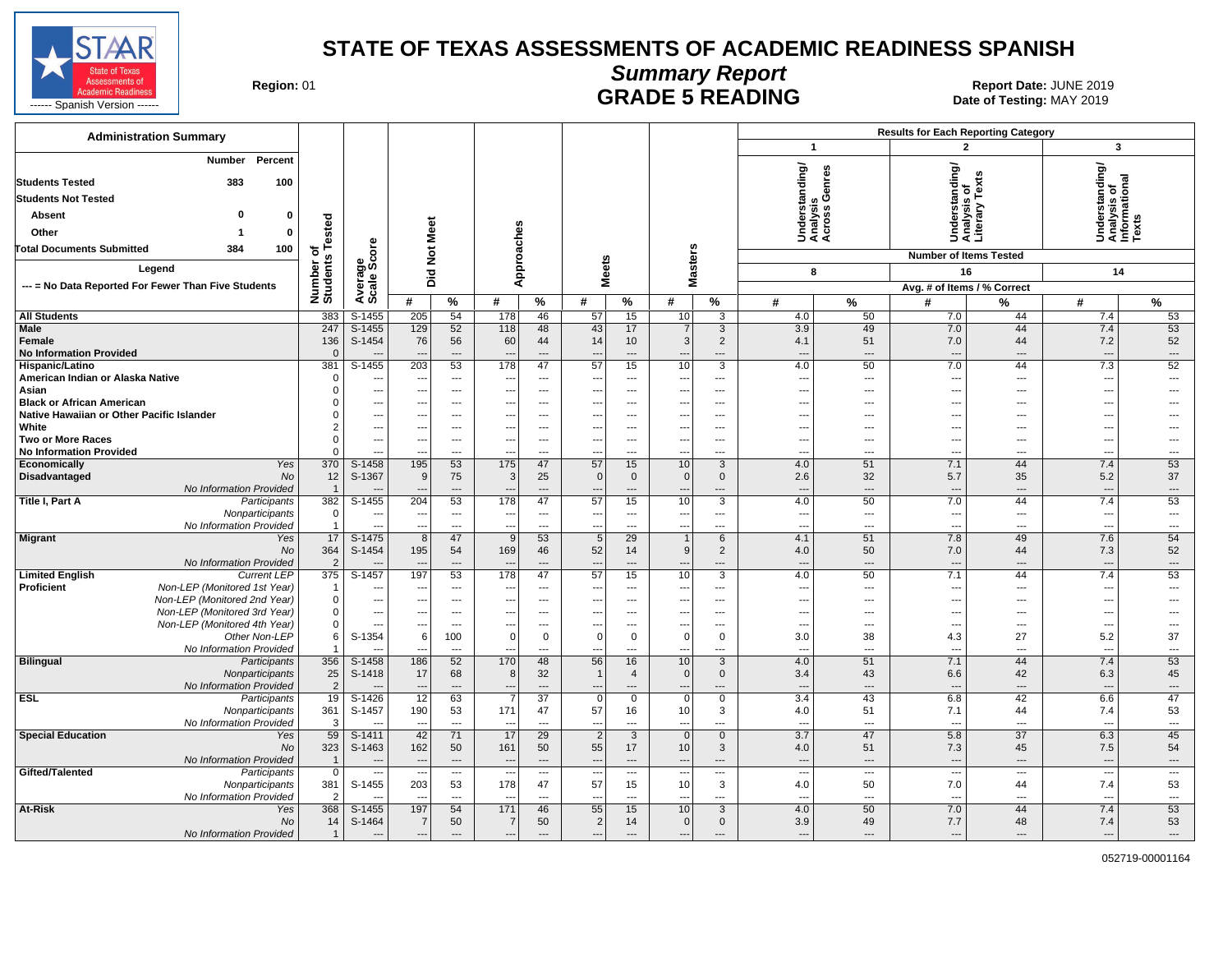

#### **Summary Report** Region: 01 **Region: 01 CALL CONSISTS AND CONTROLL SETS ARE SETS AND EXAMPLE 5 READING Report Date: JUNE 2019**

| <b>Administration Summary</b>                                    |                             |                                                      |                                 |                                                      |                                                      |                                 |                                            |                                            |                                                      |                          |                                                      |                          | <b>Results for Each Reporting Category</b> |                   |                                                         |                                |
|------------------------------------------------------------------|-----------------------------|------------------------------------------------------|---------------------------------|------------------------------------------------------|------------------------------------------------------|---------------------------------|--------------------------------------------|--------------------------------------------|------------------------------------------------------|--------------------------|------------------------------------------------------|--------------------------|--------------------------------------------|-------------------|---------------------------------------------------------|--------------------------------|
|                                                                  |                             |                                                      |                                 |                                                      |                                                      |                                 |                                            |                                            |                                                      |                          | $\mathbf{1}$                                         |                          | $\overline{2}$                             |                   | $\mathbf{3}$                                            |                                |
| Percent<br><b>Number</b><br><b>Students Tested</b><br>383<br>100 |                             |                                                      |                                 |                                                      |                                                      |                                 |                                            |                                            |                                                      |                          | Understanding/<br>Analysis<br>Across Genres          |                          | tanding/                                   | Ŷ,                | Understanding/<br>Analysis of<br>Informational<br>Texts |                                |
| <b>Students Not Tested</b>                                       |                             |                                                      |                                 |                                                      |                                                      |                                 |                                            |                                            |                                                      |                          |                                                      |                          |                                            | Tex<br>ō          |                                                         |                                |
| O<br>$\mathbf{0}$                                                |                             |                                                      |                                 |                                                      |                                                      |                                 |                                            |                                            |                                                      |                          |                                                      |                          |                                            | sis<br>5          |                                                         |                                |
| <b>Absent</b>                                                    | Tested                      |                                                      |                                 |                                                      |                                                      |                                 |                                            |                                            |                                                      |                          |                                                      |                          |                                            | Analys<br>Literar |                                                         |                                |
| Other<br>0                                                       |                             |                                                      |                                 |                                                      |                                                      |                                 |                                            |                                            |                                                      |                          |                                                      |                          | 5                                          |                   |                                                         |                                |
| <b>Total Documents Submitted</b><br>384<br>100                   | đ                           | <b>ore</b>                                           |                                 | Not Meet                                             |                                                      |                                 |                                            |                                            |                                                      |                          |                                                      |                          | <b>Number of Items Tested</b>              |                   |                                                         |                                |
| Legend                                                           |                             | မ္ဘီဖိ                                               |                                 |                                                      | Approaches                                           |                                 |                                            | <b>Meets</b>                               | <b>Masters</b>                                       |                          | 8                                                    |                          | 16                                         |                   | 14                                                      |                                |
| --- = No Data Reported For Fewer Than Five Students              |                             |                                                      |                                 | Did                                                  |                                                      |                                 |                                            |                                            |                                                      |                          |                                                      |                          | Avg. # of Items / % Correct                |                   |                                                         |                                |
|                                                                  | Number of<br>Students       | Average<br>Scale                                     | #                               | %                                                    | #                                                    | $\%$                            | #                                          | %                                          | #                                                    | %                        | #                                                    | $\%$                     | #                                          | %                 | #                                                       | %                              |
| <b>All Students</b>                                              | 383                         | S-1455                                               | 205                             | 54                                                   | 178                                                  | 46                              | 57                                         | 15                                         | 10                                                   | $\overline{3}$           | 4.0                                                  | 50                       | 7.0                                        | 44                | 7.4                                                     | 53                             |
| <b>Male</b>                                                      | 247                         | $S-1455$                                             | 129                             | 52                                                   | 118                                                  | 48                              | 43                                         | 17                                         | 7                                                    | $\overline{3}$           | 3.9                                                  | 49                       | 7.0                                        | 44                | 7.4                                                     | 53                             |
| Female                                                           | 136                         | S-1454                                               | 76                              | 56                                                   | 60                                                   | 44                              | 14                                         | 10 <sup>°</sup>                            | 3                                                    | 2                        | 4.1                                                  | 51                       | 7.0                                        | 44                | 7.2                                                     | 52                             |
| <b>No Information Provided</b>                                   | $\Omega$                    |                                                      | ---<br>203                      | $\qquad \qquad \cdots$<br>53                         | $\overline{\phantom{a}}$<br>178                      | $---$<br>47                     | $\overline{\phantom{a}}$<br>57             | $\cdots$                                   | $\overline{\phantom{a}}$<br>10                       | $---$<br>$\overline{3}$  | $---$<br>4.0                                         | $\overline{\phantom{a}}$ | $\overline{a}$                             | ---<br>44         | ---                                                     | $---$<br>52                    |
| Hispanic/Latino<br>American Indian or Alaska Native              | 381<br>$\mathbf 0$          | $S-1455$<br>$\overline{\phantom{a}}$                 | ---                             | $\overline{\phantom{a}}$                             | --                                                   | $\sim$                          | $\overline{\phantom{a}}$                   | 15<br>$---$                                | $\overline{\phantom{a}}$                             | $\overline{a}$           | $\sim$                                               | 50<br>---                | 7.0<br>$\overline{a}$                      | ---               | 7.3<br>---                                              | $\overline{a}$                 |
| Asian                                                            | $\Omega$                    | $\overline{\phantom{a}}$                             | ---                             | $\overline{\phantom{a}}$                             | ---                                                  | ---                             | $\overline{\phantom{a}}$                   | $\overline{\phantom{a}}$                   | $\overline{\phantom{a}}$                             | $\overline{a}$           | $\sim$                                               | $\overline{\phantom{a}}$ | $\hspace{0.05cm} \ldots$                   | ---               | ---                                                     | ---                            |
| <b>Black or African American</b>                                 | $\Omega$                    | $\overline{\phantom{a}}$                             | $\overline{\phantom{a}}$        | $\cdots$                                             | ---                                                  | ---                             | $\overline{\phantom{a}}$                   | ---                                        | ---                                                  | ---                      | $\sim$                                               | ---                      | ---                                        | ---               | ---                                                     | ---                            |
| Native Hawaiian or Other Pacific Islander                        | $\Omega$                    | $\overline{\phantom{a}}$                             |                                 | ---                                                  | --                                                   |                                 | $\overline{\phantom{a}}$                   | ---                                        | $\overline{\phantom{a}}$                             | ---                      | $\overline{\phantom{a}}$                             |                          | ---                                        | ---               | ---                                                     |                                |
| White                                                            | $\overline{2}$              | $\overline{\phantom{a}}$                             | $\overline{\phantom{a}}$        | $\hspace{0.05cm} \ldots$                             | ---                                                  | $\overline{\phantom{a}}$        | $\overline{\phantom{a}}$                   | ---                                        | $\overline{\phantom{a}}$                             | ---                      | $\overline{\phantom{a}}$                             | $\overline{\phantom{a}}$ | ---                                        | ---               | −−                                                      | ---                            |
| <b>Two or More Races</b><br><b>No Information Provided</b>       | $\Omega$<br>$\Omega$        | $\overline{\phantom{a}}$<br>$\overline{\phantom{a}}$ | ---<br>---                      | $\overline{\phantom{a}}$<br>$---$                    | ---<br>$\overline{\phantom{a}}$                      | $\overline{a}$                  | ---<br>---                                 | $\overline{a}$<br>$\overline{\phantom{a}}$ | ---<br>$\overline{a}$                                | $---$<br>$\overline{a}$  | $\overline{a}$<br>$\sim$                             | $---$<br>$---$           | ---<br>---                                 | ---<br>---        | ---<br>---                                              | $\overline{a}$<br>$---$        |
| Economically<br>Yes                                              | 370                         | S-1458                                               | 195                             | 53                                                   | 175                                                  | $\overline{\phantom{a}}$<br>47  | $\overline{57}$                            | 15                                         | 10                                                   | 3                        | 4.0                                                  | 51                       | 7.1                                        | 44                | 7.4                                                     | 53                             |
| Disadvantaged<br>No                                              | 12                          | S-1367                                               | 9                               | 75                                                   | 3                                                    | 25                              | $\Omega$                                   | $\mathbf 0$                                | $\mathbf{0}$                                         | $\mathbf{0}$             | 2.6                                                  | 32                       | 5.7                                        | 35                | 5.2                                                     | 37                             |
| No Information Provided                                          | $\overline{1}$              |                                                      |                                 | $\overline{\phantom{a}}$                             |                                                      |                                 | $\qquad \qquad \cdots$                     | $\overline{a}$                             | $\overline{\phantom{a}}$                             | $---$                    | $\sim$                                               | ---                      | $\qquad \qquad \cdots$                     | ---               | ---                                                     | $\hspace{0.05cm} \cdots$       |
| Title I, Part A<br>Participants                                  | 382                         | S-1455                                               | 204                             | 53                                                   | 178                                                  | 47                              | 57                                         | 15                                         | 10                                                   | 3                        | 4.0                                                  | 50                       | 7.0                                        | 44                | 7.4                                                     | 53                             |
| Nonparticipants                                                  | $\mathbf 0$<br>$\mathbf{1}$ | $\overline{\phantom{a}}$                             | $\overline{\phantom{a}}$        | $\overline{\phantom{a}}$                             | $\overline{\phantom{a}}$                             | ---                             | $\overline{\phantom{a}}$                   | $\overline{a}$                             | $\overline{\phantom{a}}$                             | ---                      | $\overline{\phantom{a}}$                             | $\cdots$                 | $\hspace{0.05cm} \ldots$                   | ---               | ---<br>Ξ.                                               | $\overline{\phantom{a}}$       |
| No Information Provided<br><b>Migrant</b><br>Yes                 | 17                          | $\overline{a}$<br>$S-1475$                           | ---<br>8                        | $\overline{a}$<br>47                                 | ÷.,<br>9                                             | $\overline{\phantom{a}}$<br>53  | $\overline{\phantom{a}}$<br>5              | ---<br>29                                  | $\overline{a}$<br>$\mathbf{1}$                       | ---<br>6                 | $\overline{\phantom{a}}$<br>4.1                      | $\overline{a}$<br>51     | $\overline{a}$<br>7.8                      | ---<br>49         | 7.6                                                     | $\overline{\phantom{a}}$<br>54 |
| No                                                               | 364                         | S-1454                                               | 195                             | 54                                                   | 169                                                  | 46                              | 52                                         | 14                                         | 9                                                    | $\overline{2}$           | 4.0                                                  | 50                       | 7.0                                        | 44                | 7.3                                                     | 52                             |
| No Information Provided                                          | $\overline{2}$              |                                                      | $\overline{\phantom{a}}$        | $---$                                                | $\overline{\phantom{a}}$                             | $\overline{\phantom{a}}$        | $\overline{\phantom{a}}$                   | $\overline{a}$                             | $\overline{a}$                                       | $\overline{a}$           | $---$                                                | $---$                    | $\overline{a}$                             | ---               | ---                                                     | $---$                          |
| <b>Limited English</b><br><b>Current LEP</b>                     | 375                         | S-1457                                               | 197                             | 53                                                   | 178                                                  | 47                              | $\overline{57}$                            | 15                                         | 10                                                   | 3                        | 4.0                                                  | 50                       | 7.1                                        | 44                | 7.4                                                     | 53                             |
| Proficient<br>Non-LEP (Monitored 1st Year)                       | $\mathbf{1}$                |                                                      | ---                             | $\hspace{0.05cm} \ldots$                             | --                                                   | $---$                           | $\overline{\phantom{a}}$                   | $\overline{\phantom{a}}$                   | ---                                                  | ---                      | $\sim$                                               | $\overline{\phantom{a}}$ | $\overline{\phantom{a}}$                   | ---               | ---                                                     | $\overline{a}$                 |
| Non-LEP (Monitored 2nd Year)<br>Non-LEP (Monitored 3rd Year)     | $\mathbf 0$<br>$\mathbf 0$  | $\overline{\phantom{a}}$<br>$\overline{\phantom{a}}$ | ---<br>---                      | $\overline{\phantom{a}}$<br>$\overline{\phantom{a}}$ | ---<br>---                                           | $\overline{\phantom{a}}$<br>--- | $\overline{a}$<br>$\overline{\phantom{a}}$ | ---<br>---                                 | ---<br>$\overline{\phantom{a}}$                      | ---<br>$\overline{a}$    | $\overline{\phantom{a}}$<br>$\overline{\phantom{a}}$ | $\overline{a}$<br>$---$  | $\qquad \qquad \cdots$<br>---              | ---<br>---        | Ξ.<br>---                                               | $\overline{a}$                 |
| Non-LEP (Monitored 4th Year)                                     | $\mathbf 0$                 | $\overline{\phantom{a}}$                             | $\overline{\phantom{a}}$        | $\overline{a}$                                       | ---                                                  | $\overline{\phantom{a}}$        | $\overline{\phantom{a}}$                   | $\overline{a}$                             | $\overline{\phantom{a}}$                             | $\overline{a}$           | $\overline{\phantom{a}}$                             | $\overline{a}$           | ---                                        | ---               | ---                                                     | $\overline{a}$                 |
| Other Non-LEP                                                    | 6                           | S-1354                                               | 6                               | 100                                                  | $\Omega$                                             | $\mathbf 0$                     | $\Omega$                                   | $\mathbf 0$                                | $\mathbf 0$                                          | 0                        | 3.0                                                  | 38                       | 4.3                                        | 27                | 5.2                                                     | 37                             |
| No Information Provided                                          | 1                           | $-$                                                  | ---                             | $\cdots$                                             | ---                                                  | ---                             | $\overline{\phantom{a}}$                   | $\overline{a}$                             | ---                                                  | ---                      | $\overline{\phantom{a}}$                             | ---                      | ---                                        | ---               | ---                                                     | $\overline{\phantom{a}}$       |
| <b>Bilingual</b><br>Participants                                 | 356                         | $S-1458$                                             | 186                             | 52                                                   | 170                                                  | 48                              | $\overline{56}$                            | 16                                         | 10                                                   | 3                        | 4.0                                                  | 51                       | 7.1                                        | 44                | 7.4                                                     | 53                             |
| Nonparticipants<br>No Information Provided                       | 25<br>$\overline{2}$        | S-1418                                               | 17                              | 68<br>$---$                                          | 8<br>--                                              | 32<br>$\overline{a}$            | $\overline{1}$<br>$\overline{\phantom{a}}$ | $\overline{4}$<br>---                      | $\mathbf{0}$<br>$\cdots$                             | $\mathbf 0$<br>$---$     | 3.4<br>$\overline{\phantom{a}}$                      | 43<br>$\overline{a}$     | 6.6                                        | 42<br>---         | 6.3                                                     | 45<br>---                      |
| <b>ESL</b><br>Participants                                       | 19                          | S-1426                                               | 12                              | 63                                                   | -7                                                   | 37                              | $\mathbf 0$                                | $\mathbf{0}$                               | $\mathbf 0$                                          | $\mathbf{0}$             | 3.4                                                  | 43                       | 6.8                                        | 42                | 6.6                                                     | 47                             |
| Nonparticipants                                                  | 361                         | S-1457                                               | 190                             | 53                                                   | 171                                                  | 47                              | 57                                         | 16                                         | 10                                                   | 3                        | 4.0                                                  | 51                       | 7.1                                        | 44                | 7.4                                                     | 53                             |
| No Information Provided                                          | 3                           |                                                      |                                 | $\overline{\phantom{a}}$                             | $\overline{\phantom{a}}$                             | $\overline{\phantom{a}}$        | $\overline{a}$                             | $\overline{a}$                             | $\overline{a}$                                       | ---                      | $\sim$                                               | $\overline{\phantom{a}}$ | $\overline{a}$                             | ---               | $\overline{a}$                                          | $\overline{\phantom{a}}$       |
| <b>Special Education</b><br>Yes                                  | 59                          | S-1411                                               | 42                              | 71                                                   | 17                                                   | 29                              | $\overline{2}$                             | 3                                          | $\overline{0}$                                       | $\mathbf{0}$             | 3.7                                                  | 47                       | 5.8                                        | 37                | 6.3                                                     | 45                             |
| No                                                               | 323<br>$\mathbf{1}$         | S-1463                                               | 162<br>$\overline{\phantom{a}}$ | 50<br>$---$                                          | 161                                                  | 50<br>$---$                     | 55                                         | 17<br>$---$                                | 10                                                   | 3<br>$\overline{a}$      | 4.0                                                  | 51<br>$---$              | 7.3<br>$\overline{\phantom{a}}$            | 45<br>$---$       | 7.5                                                     | 54<br>$---$                    |
| No Information Provided<br>Gifted/Talented<br>Participants       | $\mathbf 0$                 | $\overline{\phantom{a}}$<br>$\overline{\phantom{a}}$ | $\overline{\phantom{a}}$        | $\overline{\phantom{a}}$                             | $\overline{\phantom{a}}$<br>$\overline{\phantom{a}}$ | ---                             | $\overline{\phantom{a}}$<br>---            | $\overline{\phantom{a}}$                   | $\overline{\phantom{a}}$<br>$\overline{\phantom{a}}$ | $\qquad \qquad \cdots$   | $---$<br>$\overline{\phantom{a}}$                    | $\cdots$                 | ---                                        | ---               | $\overline{\phantom{a}}$<br>---                         | $---$                          |
| Nonparticipants                                                  | 381                         | S-1455                                               | 203                             | 53                                                   | 178                                                  | 47                              | 57                                         | 15                                         | 10                                                   | 3                        | 4.0                                                  | 50                       | 7.0                                        | 44                | 7.4                                                     | 53                             |
| No Information Provided                                          | 2                           |                                                      |                                 | $\overline{a}$                                       |                                                      |                                 |                                            | ---                                        |                                                      | $\overline{a}$           | $\overline{\phantom{a}}$                             | $---$                    | $\overline{a}$                             | ---               | ---                                                     | $\overline{a}$                 |
| At-Risk<br>Yes                                                   | 368                         | S-1455                                               | 197                             | 54                                                   | 171                                                  | 46                              | 55                                         | 15                                         | 10                                                   | 3                        | 4.0                                                  | 50                       | 7.0                                        | 44                | 7.4                                                     | 53                             |
| No                                                               | 14                          | S-1464                                               | $\overline{7}$                  | 50                                                   | -7                                                   | 50                              | $\overline{2}$                             | 14                                         | $\Omega$                                             | $\mathbf 0$              | 3.9                                                  | 49                       | 7.7                                        | 48                | 7.4                                                     | 53                             |
| No Information Provided                                          | $\mathbf{1}$                |                                                      | ---                             | $---$                                                | $\overline{a}$                                       | $---$                           | $\overline{a}$                             | $\overline{a}$                             | $\overline{a}$                                       | $\overline{\phantom{a}}$ | $\overline{\phantom{a}}$                             | $---$                    | $\hspace{1.5cm} \ldots$                    | ---               | $\overline{a}$                                          | $\overline{\phantom{a}}$       |

052719-00001164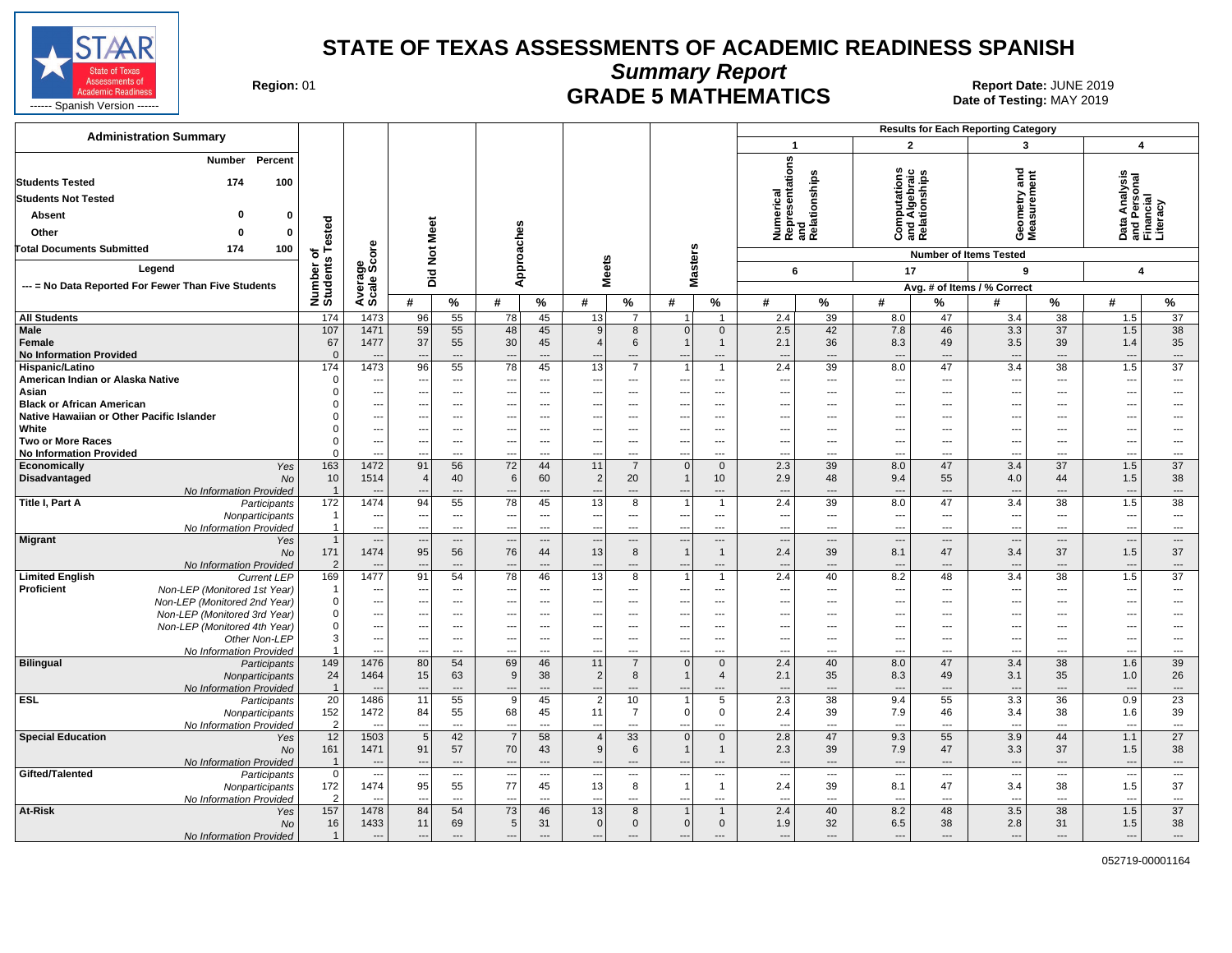

**Summary Report**

**GRADE 5 MATHEMATICS Date: JUNE 2019 Report Date: JUNE 2019 CRADE 5 MATHEMATICS** 

| <b>Administration Summary</b>                                    |                       |                                                      |                          |                                                      |                          |                                 |                                 |                       |                          |                          |                                                      |                                |                                                      | <b>Results for Each Reporting Category</b>    |                                    |                                                      |                                                        |                                |
|------------------------------------------------------------------|-----------------------|------------------------------------------------------|--------------------------|------------------------------------------------------|--------------------------|---------------------------------|---------------------------------|-----------------------|--------------------------|--------------------------|------------------------------------------------------|--------------------------------|------------------------------------------------------|-----------------------------------------------|------------------------------------|------------------------------------------------------|--------------------------------------------------------|--------------------------------|
|                                                                  |                       |                                                      |                          |                                                      |                          |                                 |                                 |                       |                          |                          | $\mathbf{1}$                                         |                                | $\overline{2}$                                       |                                               | $\mathbf{3}$                       |                                                      | $\overline{\mathbf{4}}$                                |                                |
| <b>Number</b><br>Percent<br><b>Students Tested</b><br>174<br>100 |                       |                                                      |                          |                                                      |                          |                                 |                                 |                       |                          |                          | Numerical<br>Representations<br>and<br>Relationships |                                | ഗ                                                    | Computation<br>and Algebraic<br>Relationships | ometry and<br>ssurement            |                                                      | Data Analysis<br>and Personal<br>Financial<br>Literacy |                                |
| <b>Students Not Tested</b>                                       |                       |                                                      |                          |                                                      |                          |                                 |                                 |                       |                          |                          |                                                      |                                |                                                      |                                               |                                    |                                                      |                                                        |                                |
| <b>Absent</b><br>$\bf{0}$                                        |                       |                                                      |                          |                                                      |                          |                                 |                                 |                       |                          |                          |                                                      |                                |                                                      |                                               |                                    |                                                      |                                                        |                                |
| Other<br>$\Omega$<br>n                                           | ested                 |                                                      |                          |                                                      |                          |                                 |                                 |                       |                          |                          |                                                      |                                |                                                      |                                               | Gea<br>Nea                         |                                                      |                                                        |                                |
| <b>Total Documents Submitted</b><br>174<br>100                   |                       | ore                                                  | Not Meet                 |                                                      |                          |                                 |                                 |                       |                          |                          |                                                      |                                |                                                      |                                               |                                    |                                                      |                                                        |                                |
| Legend                                                           | ৳                     | န္တပ္တိ                                              |                          |                                                      | Approaches               |                                 | <b>Meets</b>                    |                       | <b>Masters</b>           |                          |                                                      |                                |                                                      |                                               | <b>Number of Items Tested</b><br>9 |                                                      |                                                        |                                |
| --- = No Data Reported For Fewer Than Five Students              |                       |                                                      | Did                      |                                                      |                          |                                 |                                 |                       |                          |                          | 6                                                    |                                | 17                                                   |                                               |                                    |                                                      | $\overline{\mathbf{4}}$                                |                                |
|                                                                  | Number o<br>Students  | Avera                                                | #                        | %                                                    | #                        | %                               | #                               | %                     | #                        | %                        | #                                                    | %                              | #                                                    | %                                             | Avg. # of Items / % Correct<br>#   | %                                                    | #                                                      | %                              |
| <b>All Students</b>                                              | 174                   | 1473                                                 | 96                       | 55                                                   | 78                       | 45                              | 13                              | $\overline{7}$        | $\mathbf{1}$             | $\overline{1}$           | 2.4                                                  | 39                             | 8.0                                                  | 47                                            | 3.4                                | 38                                                   | 1.5                                                    | 37                             |
| <b>Male</b>                                                      | 107                   | 1471                                                 | 59                       | 55                                                   | 48                       | 45                              | 9                               | 8                     | $\Omega$                 | $\mathbf 0$              | 2.5                                                  | 42                             | 7.8                                                  | 46                                            | 3.3                                | 37                                                   | 1.5                                                    | 38                             |
| Female                                                           | 67                    | 1477                                                 | 37                       | 55                                                   | 30                       | 45                              | $\overline{4}$                  | 6                     |                          | $\overline{1}$           | 2.1                                                  | 36                             | 8.3                                                  | 49                                            | 3.5                                | 39                                                   | 1.4                                                    | 35                             |
| <b>No Information Provided</b>                                   | $\Omega$              | $---$                                                | $\overline{\phantom{a}}$ | $---$                                                | $\overline{\phantom{a}}$ | $---$                           | $\overline{\phantom{a}}$        | $---$                 | $\overline{\phantom{a}}$ | ---                      | $\overline{\phantom{a}}$                             | $---$                          | $---$                                                | $---$                                         | $\overline{\phantom{a}}$           | $---$                                                | $\overline{\phantom{a}}$                               | $\hspace{0.05cm} \ldots$       |
| Hispanic/Latino                                                  | 174                   | 1473                                                 | 96                       | 55                                                   | 78                       | 45                              | 13                              | $\overline{7}$        | $\overline{1}$           | $\overline{1}$           | 2.4                                                  | 39                             | 8.0                                                  | 47                                            | 3.4                                | 38                                                   | 1.5                                                    | 37                             |
| American Indian or Alaska Native                                 | $\Omega$              | ---                                                  | --                       | ---                                                  |                          | ---                             | $\overline{\phantom{a}}$        | ---                   | ---                      | ---                      | $\overline{\phantom{a}}$                             | $\hspace{0.05cm} \ldots$       | $\qquad \qquad \cdots$                               | $\overline{\phantom{a}}$<br>$\overline{a}$    | ---                                | $\qquad \qquad \cdots$                               | ---                                                    | ---                            |
| Asian<br><b>Black or African American</b>                        |                       | ---<br>---                                           | ---                      | $\cdots$<br>---                                      |                          | $\overline{\phantom{a}}$<br>--- | ---                             | ---<br>---            | ---                      | ---<br>---               | ---<br>$\overline{\phantom{a}}$                      | ---<br>---                     | ---<br>---                                           |                                               | ---                                | $\scriptstyle\cdots$<br>$\overline{a}$               | −−<br>---                                              | ---<br>-−-                     |
| Native Hawaiian or Other Pacific Islander                        |                       | $\hspace{0.05cm} \ldots$                             | ---                      | $\qquad \qquad \cdots$                               |                          | ---                             | $\overline{\phantom{a}}$        | ---                   | ---                      | ---                      | $\overline{\phantom{a}}$                             | $\hspace{0.05cm} \ldots$       | $\hspace{0.05cm} \ldots$                             | $---$                                         | ---                                | $---$                                                | ---                                                    | ---                            |
| White                                                            |                       | $\overline{\phantom{a}}$                             | ---                      | $---$                                                | $---$                    | $\sim$                          | ---                             | $\overline{a}$        | ---                      | ---                      | ---                                                  | $---$                          | $\overline{\phantom{a}}$                             | $---$                                         | ---                                | $---$                                                | ---                                                    | $\overline{a}$                 |
| Two or More Races                                                | $\Omega$              | $\overline{a}$                                       | $\overline{\phantom{a}}$ | $---$                                                | ---                      | $\sim$                          | $\sim$                          | $\overline{a}$        | $\sim$                   | $---$                    | $\overline{\phantom{a}}$                             | $---$                          | $\sim$                                               | $---$                                         | $\sim$                             | $---$                                                | ---                                                    | $---$                          |
| <b>No Information Provided</b>                                   | $\Omega$              | $\overline{a}$                                       |                          | $---$                                                | $\overline{a}$           | $---$                           |                                 | ---                   | ---                      | ---                      | ---                                                  | $\overline{a}$                 | $\overline{a}$                                       | $---$                                         | $\overline{a}$                     | $---$                                                | ---                                                    | $\overline{a}$                 |
| Economically<br>Yes                                              | 163                   | 1472                                                 | 91                       | 56                                                   | 72                       | 44                              | 11                              | $\overline{7}$        | $\overline{0}$           | $\overline{0}$           | 2.3                                                  | 39                             | 8.0                                                  | 47                                            | 3.4                                | 37                                                   | 1.5                                                    | 37                             |
| Disadvantaged<br><b>No</b>                                       | 10                    | 1514                                                 | $\overline{4}$           | 40                                                   | 6                        | 60                              | 2                               | 20                    | $\mathbf 1$              | 10                       | 2.9                                                  | 48                             | 9.4                                                  | 55                                            | 4.0                                | 44                                                   | 1.5                                                    | 38                             |
| No Information Provided                                          | $\overline{1}$        |                                                      |                          | ---                                                  |                          | $---$                           | $\overline{a}$                  | ---                   | $\overline{a}$           | ---                      | $\overline{\phantom{a}}$                             | ---                            | $---$                                                | $---$                                         | $\overline{a}$                     | $\overline{\phantom{a}}$                             | $\overline{\phantom{a}}$                               | $\qquad \qquad \cdots$         |
| Title I, Part A<br>Participants                                  | 172<br>$\overline{1}$ | 1474<br>---                                          | 94                       | 55<br>$\overline{\phantom{a}}$                       | 78<br>---                | 45<br>$\overline{\phantom{a}}$  | 13<br>---                       | $\overline{8}$<br>--- | 1<br>---                 | $\overline{1}$<br>---    | 2.4<br>---                                           | 39<br>---                      | 8.0<br>$\sim$                                        | 47<br>---                                     | 3.4<br>---                         | 38<br>$\scriptstyle\cdots$                           | 1.5<br>$\overline{\phantom{a}}$                        | 38<br>$\overline{\phantom{a}}$ |
| Nonparticipants<br>No Information Provided                       | -1                    | $\overline{\phantom{a}}$                             | $\sim$                   | $---$                                                | $\overline{\phantom{a}}$ | $\overline{\phantom{a}}$        | $\sim$                          | ---                   | $\overline{\phantom{a}}$ | ---                      | $\overline{\phantom{a}}$                             | ---                            | $\overline{\phantom{a}}$                             | ---                                           | $\overline{\phantom{a}}$           | $\overline{\phantom{a}}$                             | $\overline{\phantom{a}}$                               | ---                            |
| <b>Migrant</b><br>Yes                                            | $\overline{1}$        | $\qquad \qquad \cdots$                               | ---                      | $---$                                                | $\overline{\phantom{a}}$ | $\overline{\phantom{a}}$        | $\overline{\phantom{a}}$        | ---                   | $\overline{\phantom{a}}$ | $\overline{a}$           | $\overline{\phantom{a}}$                             | $\overline{\phantom{a}}$       | $\cdots$                                             | $\overline{a}$                                | $\overline{\phantom{a}}$           | $\overline{\phantom{a}}$                             | ---                                                    | $\hspace{0.05cm} \ldots$       |
| No                                                               | 171                   | 1474                                                 | 95                       | 56                                                   | 76                       | 44                              | 13                              | 8                     | $\overline{1}$           | $\overline{1}$           | 2.4                                                  | 39                             | 8.1                                                  | 47                                            | 3.4                                | 37                                                   | 1.5                                                    | 37                             |
| No Information Provided                                          | $\overline{2}$        |                                                      |                          | $---$                                                |                          | ---                             |                                 | ---                   | ---                      | ---                      | $\overline{\phantom{a}}$                             | $\overline{a}$                 | $\overline{\phantom{a}}$                             | $\overline{a}$                                | $\overline{\phantom{a}}$           | $\overline{\phantom{a}}$                             | ---                                                    | ---                            |
| <b>Limited English</b><br><b>Current LEP</b>                     | 169                   | 1477                                                 | 91                       | 54                                                   | 78                       | 46                              | 13                              | 8                     | $\overline{1}$           | $\overline{1}$           | 2.4                                                  | 40                             | 8.2                                                  | 48                                            | 3.4                                | 38                                                   | 1.5                                                    | 37                             |
| Proficient<br>Non-LEP (Monitored 1st Year)                       |                       | ---                                                  |                          | $\overline{\phantom{a}}$                             |                          | ---                             | $\overline{\phantom{a}}$        | ---                   | ---                      | ---                      | $\overline{\phantom{a}}$                             | ---                            | $\hspace{0.05cm} \ldots$                             | ---                                           | ---                                | $\overline{\phantom{a}}$                             | $\overline{\phantom{a}}$                               | ---                            |
| Non-LEP (Monitored 2nd Year)                                     | $\Omega$              | $\hspace{0.05cm} \ldots$                             | ---                      | $\overline{\phantom{a}}$                             |                          | ---                             | ---                             | ---                   | ---                      | ---                      | $\overline{\phantom{a}}$                             | ---                            | $\hspace{0.05cm} \ldots$                             | ---                                           |                                    | $\overline{\phantom{a}}$                             | ---                                                    | ---                            |
| Non-LEP (Monitored 3rd Year)                                     | $\Omega$<br>$\Omega$  | $\overline{\phantom{a}}$                             |                          | $\overline{\phantom{a}}$                             |                          | $---$                           | $\overline{\phantom{a}}$        | ---                   | ---                      | ---                      | ---                                                  | ---                            | ---                                                  | $---$                                         | ---                                | $---$                                                | ---                                                    | ---                            |
| Non-LEP (Monitored 4th Year)<br>Other Non-LEP                    | 3                     | $\overline{\phantom{a}}$<br>$\hspace{0.05cm} \ldots$ | ---<br>---               | $\overline{\phantom{a}}$<br>$\overline{\phantom{a}}$ | $- -$<br>$\overline{a}$  | $\overline{\phantom{a}}$<br>--- | ---<br>$\overline{\phantom{a}}$ | ---<br>---            | ---<br>---               | ---<br>---               | ---<br>---                                           | ---<br>---                     | $\overline{\phantom{a}}$<br>$\overline{\phantom{a}}$ | $\cdots$<br>$\overline{\phantom{a}}$          | ---<br>$\overline{a}$              | $\overline{\phantom{a}}$<br>$\overline{\phantom{a}}$ | ---                                                    | ---<br>---                     |
| No Information Provided                                          | $\overline{1}$        | $\overline{a}$                                       |                          | $\overline{a}$                                       | $\overline{a}$           | $\overline{a}$                  | $\sim$                          | ---                   | $\overline{a}$           | $\overline{a}$           | $\overline{a}$                                       | $\overline{a}$                 | $\overline{a}$                                       | $\overline{a}$                                | $\sim$                             | $\overline{a}$                                       | $\overline{\phantom{a}}$<br>÷.,                        | $\overline{a}$                 |
| <b>Bilingual</b><br>Participants                                 | 149                   | 1476                                                 | 80                       | 54                                                   | 69                       | 46                              | 11                              | $\overline{7}$        | $\overline{0}$           | $\mathbf 0$              | 2.4                                                  | 40                             | 8.0                                                  | 47                                            | 3.4                                | 38                                                   | 1.6                                                    | 39                             |
| Nonparticipants                                                  | 24                    | 1464                                                 | 15                       | 63                                                   | 9                        | 38                              | $\overline{2}$                  | 8                     | $\mathbf{1}$             | $\overline{4}$           | 2.1                                                  | 35                             | 8.3                                                  | 49                                            | 3.1                                | 35                                                   | 1.0                                                    | 26                             |
| No Information Provided                                          | $\overline{1}$        |                                                      |                          | ---                                                  |                          | $\overline{\phantom{a}}$        | ---                             | ---                   |                          | ---                      |                                                      | ---                            | $\overline{\phantom{a}}$                             | ---                                           | $\overline{\phantom{a}}$           | $\overline{\phantom{a}}$                             | ---                                                    | $\qquad \qquad \cdots$         |
| <b>ESL</b><br>Participants                                       | 20                    | 1486                                                 | 11                       | 55                                                   | $\overline{9}$           | 45                              | $\overline{2}$                  | 10                    | 1                        | $\overline{5}$           | 2.3                                                  | $\overline{38}$                | 9.4                                                  | 55                                            | 3.3                                | 36                                                   | 0.9                                                    | $\overline{23}$                |
| Nonparticipants                                                  | 152                   | 1472                                                 | 84                       | 55                                                   | 68                       | 45                              | 11                              | $\overline{7}$        | $\overline{0}$           | $\mathbf 0$              | 2.4                                                  | 39                             | 7.9                                                  | 46                                            | 3.4                                | 38                                                   | 1.6                                                    | 39                             |
| No Information Provided                                          | $\overline{2}$        | $---$                                                | ---                      | $\overline{\phantom{a}}$                             | ---                      | ---                             | $\overline{\phantom{a}}$        | ---                   | ---                      | ---                      | $\overline{\phantom{a}}$                             | ---                            | $\overline{\phantom{a}}$                             | $\overline{\phantom{a}}$                      | $\overline{\phantom{a}}$           | $\overline{\phantom{a}}$                             | ---                                                    | $\hspace{0.05cm} \ldots$       |
| <b>Special Education</b><br>Yes                                  | 12                    | 1503                                                 | $\,$ 5 $\,$              | 42                                                   | $\overline{7}$           | 58                              | $\overline{4}$                  | 33                    | $\Omega$                 | $\overline{0}$           | 2.8                                                  | 47                             | 9.3                                                  | 55                                            | 3.9                                | 44                                                   | 1.1                                                    | 27                             |
| <b>No</b><br>No Information Provided                             | 161<br>$\overline{1}$ | 1471                                                 | 91                       | 57<br>$\overline{a}$                                 | 70                       | 43<br>$\overline{a}$            | 9                               | 6<br>---              | $\mathbf{1}$             | $\overline{1}$<br>---    | 2.3<br>$\overline{\phantom{a}}$                      | 39<br>$\overline{\phantom{a}}$ | 7.9<br>$\overline{\phantom{a}}$                      | 47<br>$---$                                   | 3.3<br>$\overline{\phantom{a}}$    | 37<br>$\overline{\phantom{a}}$                       | 1.5<br>---                                             | 38<br>$\cdots$                 |
| Gifted/Talented<br>Participants                                  | $\overline{0}$        | $\overline{\phantom{a}}$                             |                          | $\overline{\phantom{a}}$                             | $\overline{\phantom{a}}$ | ---                             | $\overline{\phantom{a}}$        | ---                   | $\overline{\phantom{a}}$ | $\overline{\phantom{a}}$ | $\overline{\phantom{a}}$                             | ---                            | $\overline{\phantom{a}}$                             | $\overline{\phantom{a}}$                      | $\overline{\phantom{a}}$           | $\overline{\phantom{a}}$                             | ---                                                    | $\overline{\phantom{a}}$       |
| Nonparticipants                                                  | 172                   | 1474                                                 | 95                       | 55                                                   | 77                       | 45                              | 13                              | 8                     | $\mathbf{1}$             | $\overline{1}$           | 2.4                                                  | 39                             | 8.1                                                  | 47                                            | 3.4                                | 38                                                   | 1.5                                                    | 37                             |
| No Information Provided                                          | $\overline{2}$        |                                                      |                          | $\overline{a}$                                       |                          | $\overline{a}$                  |                                 | ---                   |                          | ---                      | $\overline{\phantom{a}}$                             | ---                            |                                                      | $\overline{a}$                                | ---                                | $\overline{a}$                                       |                                                        | $\overline{a}$                 |
| At-Risk<br>Yes                                                   | 157                   | 1478                                                 | 84                       | 54                                                   | 73                       | 46                              | 13                              | 8                     | $\overline{\mathbf{1}}$  | $\mathbf 1$              | 2.4                                                  | 40                             | 8.2                                                  | 48                                            | 3.5                                | 38                                                   | 1.5                                                    | $\overline{37}$                |
| No                                                               | 16                    | 1433                                                 | 11                       | 69                                                   | $\sqrt{5}$               | 31                              | $\overline{0}$                  | $\mathbf 0$           | $\overline{0}$           | $\mathbf 0$              | 1.9                                                  | 32                             | 6.5                                                  | 38                                            | 2.8                                | 31                                                   | 1.5                                                    | 38                             |
| No Information Provided                                          | $\overline{1}$        | $---$                                                | $---$                    | $---$                                                | $---$                    | $---$                           | $---$                           | $---$                 | $\overline{\phantom{a}}$ | ---                      | $\overline{\phantom{a}}$                             | $\overline{\phantom{a}}$       | $---$                                                | $---$                                         | $---$                              | $---$                                                | $\overline{\phantom{a}}$                               | ---                            |

052719-00001164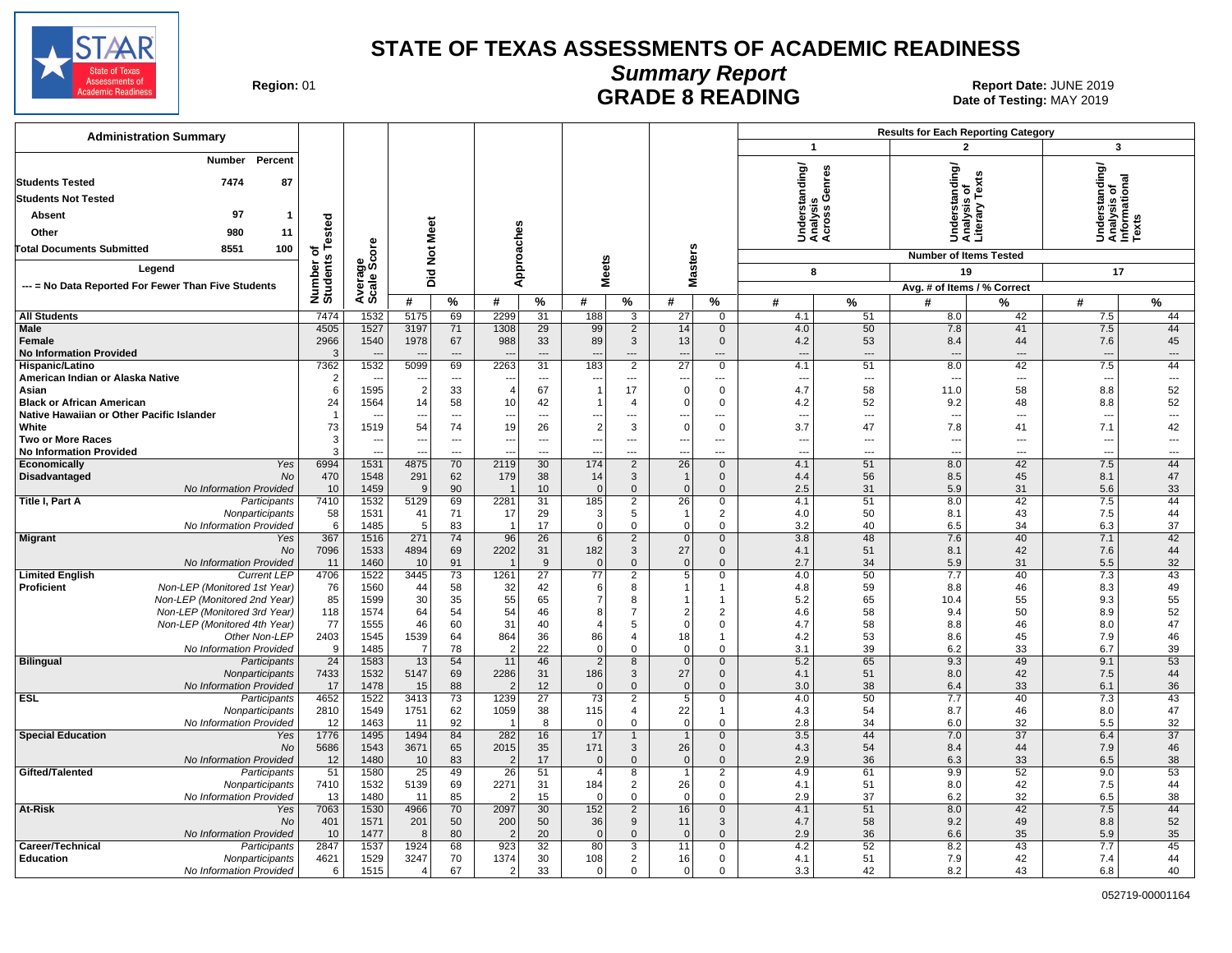

# **Summary Report**

Region: 01 **Region: 01 CALL BEADE 8 READING Report Date: JUNE 2019**<br> **GRADE 8 READING** Date of Testing: MAY 2019 Date of Testing: MAY 2019

| <b>Administration Summary</b>                                                                                                                 |                              |                        |                                  |                                |                                 |                          |                                   |                                |                                |                                |                                             | <b>Results for Each Reporting Category</b> |                                                    |                          |                                                |                                |  |
|-----------------------------------------------------------------------------------------------------------------------------------------------|------------------------------|------------------------|----------------------------------|--------------------------------|---------------------------------|--------------------------|-----------------------------------|--------------------------------|--------------------------------|--------------------------------|---------------------------------------------|--------------------------------------------|----------------------------------------------------|--------------------------|------------------------------------------------|--------------------------------|--|
|                                                                                                                                               |                              |                        |                                  |                                |                                 |                          |                                   |                                |                                |                                | $\mathbf{1}$                                |                                            | $\overline{2}$                                     |                          | $\mathbf{3}$                                   |                                |  |
| Percent<br>Number<br>7474<br>87<br><b>Students Tested</b><br><b>Students Not Tested</b><br>97<br>Absent<br>$\mathbf{1}$<br>Other<br>980<br>11 | Number of<br>Students Tested |                        | <b>Not Meet</b>                  |                                | Approaches                      |                          |                                   |                                |                                |                                | Understanding/<br>Analysis<br>Across Genres |                                            | rstanding/<br>'sis of<br>Jndera<br>Anara<br>Litera | ě<br>Δıε.                | Understanding/<br>Analysis of<br>Informational |                                |  |
| 100<br><b>Total Documents Submitted</b><br>8551                                                                                               |                              |                        |                                  |                                |                                 |                          |                                   |                                |                                |                                |                                             |                                            | <b>Number of Items Tested</b>                      |                          |                                                |                                |  |
| Legend                                                                                                                                        |                              | Average<br>Scale Score | Did                              |                                |                                 |                          |                                   | <b>Meets</b>                   | <b>Masters</b>                 |                                | 8                                           |                                            | 19                                                 |                          | 17                                             |                                |  |
| --- = No Data Reported For Fewer Than Five Students                                                                                           |                              |                        |                                  |                                |                                 |                          |                                   |                                |                                |                                |                                             |                                            | Avg. # of Items / % Correct                        |                          |                                                |                                |  |
|                                                                                                                                               |                              |                        | #                                | $\%$                           | #                               | $\%$                     | #                                 | %                              | #                              | %                              | #                                           | %                                          | #                                                  | ℅                        | #                                              | %                              |  |
| <b>All Students</b>                                                                                                                           | 7474                         | 1532                   | 5175                             | 69                             | 2299                            | 31                       | 188                               | $\overline{3}$                 | 27                             | $\mathbf 0$                    | 4.1                                         | 51                                         | 8.0                                                | 42                       | 7.5                                            | 44                             |  |
| Male                                                                                                                                          | 4505                         | 1527                   | 3197                             | 71                             | 1308                            | 29                       | 99                                | $\overline{2}$                 | 14                             | $\mathbf 0$                    | 4.0                                         | 50                                         | 7.8                                                | 41                       | 7.5                                            | 44                             |  |
| Female<br><b>No Information Provided</b>                                                                                                      | 2966<br>3                    | 1540                   | 1978<br>$\overline{\phantom{a}}$ | 67<br>$\overline{\phantom{a}}$ | 988<br>$\overline{\phantom{a}}$ | 33<br>$---$              | 89<br>$\overline{\phantom{a}}$    | 3<br>---                       | 13<br>$\overline{\phantom{a}}$ | $\mathbf 0$<br>---             | 4.2<br>$\overline{\phantom{a}}$             | 53<br>$\overline{\phantom{a}}$             | 8.4<br>$---$                                       | 44<br>---                | 7.6<br>$\overline{\phantom{a}}$                | 45<br>$\overline{\phantom{a}}$ |  |
| Hispanic/Latino                                                                                                                               | 7362                         | 1532                   | 5099                             | 69                             | 2263                            | 31                       | 183                               | $\overline{2}$                 | $\overline{27}$                | $\mathbf 0$                    | 4.1                                         | 51                                         | 8.0                                                | 42                       | 7.5                                            | 44                             |  |
| American Indian or Alaska Native                                                                                                              | $\overline{2}$               |                        | ---                              | $\overline{\phantom{a}}$       | $\ddotsc$                       | $\overline{\phantom{a}}$ | ---                               | $\overline{a}$                 | $\overline{\phantom{a}}$       | $\cdots$                       | $---$                                       | $\overline{\phantom{a}}$                   | ---                                                | $\overline{\phantom{a}}$ | $\overline{\phantom{a}}$                       | $\overline{\phantom{a}}$       |  |
| Asian                                                                                                                                         | 6                            | 1595                   | $\overline{2}$                   | 33                             |                                 | 67                       | $\overline{1}$                    | 17                             | $\mathbf 0$                    | $\Omega$                       | 4.7                                         | 58                                         | 11.0                                               | 58                       | 8.8                                            | 52                             |  |
| <b>Black or African American</b>                                                                                                              | 24                           | 1564                   | 14                               | 58                             | 10                              | 42                       |                                   | 4                              | $\overline{0}$                 | 0                              | 4.2                                         | 52                                         | 9.2                                                | 48                       | 8.8                                            | 52                             |  |
| Native Hawaiian or Other Pacific Islander                                                                                                     | $\overline{1}$               |                        | ---                              | $\overline{a}$                 | --                              | ---                      | $\overline{\phantom{a}}$          | ---                            | $\overline{a}$                 | $\overline{a}$                 | $\sim$                                      | $\overline{\phantom{a}}$                   | $\overline{a}$                                     | ---                      | $\overline{a}$                                 | $\hspace{0.05cm} \ldots$       |  |
| White                                                                                                                                         | 73                           | 1519                   | 54                               | 74                             | 19                              | 26                       | $\overline{2}$                    | 3                              | 0                              | $\mathbf 0$                    | 3.7                                         | 47                                         | 7.8                                                | 41                       | 7.1                                            | 42                             |  |
| <b>Two or More Races</b>                                                                                                                      | 3                            | $\sim$                 | ---                              | $\overline{\phantom{a}}$       | $\overline{\phantom{a}}$        | $\overline{\phantom{a}}$ | ---                               | ---                            | $\overline{\phantom{a}}$       | $\cdots$                       | $\overline{\phantom{a}}$                    | $\overline{\phantom{a}}$                   | ---                                                | ---                      | $\overline{\phantom{a}}$                       | $\overline{\phantom{a}}$       |  |
| <b>No Information Provided</b>                                                                                                                | 3<br>6994                    | $\overline{a}$<br>1531 | 4875                             | $\overline{a}$<br>70           | --<br>2119                      | $\overline{a}$<br>30     | 174                               | ---<br>$\overline{2}$          | $\overline{a}$<br>26           | $\overline{a}$<br>$\mathbf{0}$ | $\sim$<br>4.1                               | $\overline{a}$<br>51                       | $---$<br>8.0                                       | $\overline{a}$<br>42     | $\overline{a}$<br>7.5                          | $\overline{a}$<br>44           |  |
| Economically<br>Yes<br>Disadvantaged<br>No                                                                                                    | 470                          | 1548                   | 291                              | 62                             | 179                             | 38                       | 14                                | 3                              | $\overline{1}$                 | $\mathbf 0$                    | 4.4                                         | 56                                         | 8.5                                                | 45                       | 8.1                                            | 47                             |  |
| No Information Provided                                                                                                                       | 10                           | 1459                   | 9                                | 90                             |                                 | 10                       | $\Omega$                          | $\overline{0}$                 | $\overline{0}$                 | $\Omega$                       | 2.5                                         | 31                                         | 5.9                                                | 31                       | 5.6                                            | 33                             |  |
| Title I, Part A<br>Participants                                                                                                               | 7410                         | 1532                   | 5129                             | 69                             | 2281                            | 31                       | 185                               | $\overline{2}$                 | 26                             | 0                              | 4.1                                         | 51                                         | 8.0                                                | 42                       | 7.5                                            | 44                             |  |
| Nonparticipants                                                                                                                               | 58                           | 1531                   | 41                               | 71                             | 17                              | 29                       | 3                                 | 5                              | -1                             | 2                              | 4.0                                         | 50                                         | 8.1                                                | 43                       | 7.5                                            | 44                             |  |
| No Information Provided                                                                                                                       | 6                            | 1485                   | 5                                | 83                             | $\overline{1}$                  | 17                       | $\Omega$                          | $\mathbf 0$                    | $\Omega$                       | $\Omega$                       | 3.2                                         | 40                                         | 6.5                                                | 34                       | 6.3                                            | 37                             |  |
| <b>Migrant</b><br>Yes                                                                                                                         | 367                          | 1516                   | 271                              | 74                             | 96                              | 26                       | 6                                 | $\overline{2}$                 | $\overline{0}$                 | $\mathbf{0}$                   | 3.8                                         | 48                                         | 7.6                                                | 40                       | 7.1                                            | 42                             |  |
| No                                                                                                                                            | 7096                         | 1533                   | 4894                             | 69                             | 2202                            | 31                       | 182                               | 3                              | 27                             | $\mathbf 0$                    | 4.1                                         | 51                                         | 8.1                                                | 42                       | 7.6                                            | 44                             |  |
| No Information Provided<br><b>Limited English</b><br><b>Current LEP</b>                                                                       | 11<br>4706                   | 1460<br>1522           | 10<br>3445                       | 91<br>73                       | $\overline{1}$<br>1261          | 9<br>$\overline{27}$     | $\overline{0}$<br>$\overline{77}$ | $\mathbf{0}$<br>$\overline{2}$ | $\overline{0}$<br>5            | $\mathbf{0}$<br>0              | 2.7<br>4.0                                  | 34<br>50                                   | 5.9<br>7.7                                         | 31<br>40                 | 5.5<br>7.3                                     | 32<br>43                       |  |
| Non-LEP (Monitored 1st Year)<br><b>Proficient</b>                                                                                             | 76                           | 1560                   | 44                               | 58                             | 32                              | 42                       | 6                                 | 8                              | -1                             | 1                              | 4.8                                         | 59                                         | 8.8                                                | 46                       | 8.3                                            | 49                             |  |
| Non-LEP (Monitored 2nd Year)                                                                                                                  | 85                           | 1599                   | 30                               | 35                             | 55                              | 65                       | $\overline{7}$                    | 8                              | -1                             | -1                             | 5.2                                         | 65                                         | 10.4                                               | 55                       | 9.3                                            | 55                             |  |
| Non-LEP (Monitored 3rd Year)                                                                                                                  | 118                          | 1574                   | 64                               | 54                             | 54                              | 46                       | 8                                 | $\overline{7}$                 | $\overline{2}$                 | 2                              | 4.6                                         | 58                                         | 9.4                                                | 50                       | 8.9                                            | 52                             |  |
| Non-LEP (Monitored 4th Year)                                                                                                                  | 77                           | 1555                   | 46                               | 60                             | 31                              | 40                       |                                   | 5                              | $\Omega$                       | 0                              | 4.7                                         | 58                                         | 8.8                                                | 46                       | 8.0                                            | 47                             |  |
| Other Non-LEP                                                                                                                                 | 2403                         | 1545                   | 1539                             | 64                             | 864                             | 36                       | 86                                | 4                              | 18 <sup>1</sup>                | $\mathbf{1}$                   | 4.2                                         | 53                                         | 8.6                                                | 45                       | 7.9                                            | 46                             |  |
| No Information Provided                                                                                                                       | 9                            | 1485                   | $\overline{7}$                   | 78                             | -2                              | 22                       | $\mathbf 0$                       | $\mathbf{0}$                   | $\overline{0}$                 | $\mathbf 0$                    | 3.1                                         | 39                                         | 6.2                                                | 33                       | 6.7                                            | 39                             |  |
| <b>Bilingual</b><br>Participants                                                                                                              | $\overline{24}$              | 1583                   | 13                               | 54                             | 11                              | 46                       | $\overline{2}$                    | 8                              | 0                              | $\mathbf 0$                    | 5.2                                         | 65                                         | 9.3                                                | 49                       | 9.1                                            | 53                             |  |
| Nonparticipants                                                                                                                               | 7433                         | 1532                   | 5147                             | 69                             | 2286<br>$\tilde{\phantom{a}}$   | 31                       | 186                               | 3                              | 27<br> 0                       | $\mathbf{0}$<br>$\Omega$       | 4.1                                         | 51                                         | 8.0                                                | 42<br>33                 | 7.5                                            | 44                             |  |
| No Information Provided<br><b>ESL</b><br>Participants                                                                                         | 17<br>4652                   | 1478<br>1522           | 15<br>3413                       | 88<br>73                       | 1239                            | 12<br>27                 | $\mathbf{0}$<br>73                | $\mathbf{0}$<br>$\overline{2}$ | 5 <sub>5</sub>                 | 0                              | 3.0<br>4.0                                  | 38<br>50                                   | 6.4<br>7.7                                         | 40                       | 6.1<br>7.3                                     | 36<br>43                       |  |
| Nonparticipants                                                                                                                               | 2810                         | 1549                   | 1751                             | 62                             | 1059                            | 38                       | 115                               | $\overline{4}$                 | 22                             | $\mathbf{1}$                   | 4.3                                         | 54                                         | 8.7                                                | 46                       | 8.0                                            | 47                             |  |
| No Information Provided                                                                                                                       | 12                           | 1463                   | 11                               | 92                             |                                 | 8                        | $\Omega$                          | $\mathbf{0}$                   | 0                              | $\Omega$                       | 2.8                                         | 34                                         | 6.0                                                | 32                       | 5.5                                            | 32                             |  |
| <b>Special Education</b><br>Yes                                                                                                               | 1776                         | 1495                   | 1494                             | 84                             | 282                             | 16                       | 17                                | $\mathbf{1}$                   | $\overline{1}$                 | $\mathbf 0$                    | 3.5                                         | 44                                         | 7.0                                                | 37                       | 6.4                                            | $\overline{37}$                |  |
| <b>No</b>                                                                                                                                     | 5686                         | 1543                   | 3671                             | 65                             | 2015                            | 35                       | 171                               | 3                              | 26                             | $\mathbf{0}$                   | 4.3                                         | 54                                         | 8.4                                                | 44                       | 7.9                                            | 46                             |  |
| No Information Provided                                                                                                                       | 12                           | 1480                   | 10                               | 83                             | 2                               | 17                       | $\mathbf{0}$                      | $\mathbf{0}$                   | 0                              | $\mathbf{0}$                   | 2.9                                         | 36                                         | 6.3                                                | 33                       | 6.5                                            | 38                             |  |
| Gifted/Talented<br>Participants                                                                                                               | 51                           | 1580                   | 25                               | 49                             | 26                              | 51                       | $\overline{4}$                    | 8                              | $\mathbf 1$                    | 2                              | 4.9                                         | 61                                         | 9.9                                                | 52                       | 9.0                                            | 53                             |  |
| Nonparticipants                                                                                                                               | 7410                         | 1532                   | 5139                             | 69                             | 2271                            | 31                       | 184                               | $\overline{2}$                 | 26                             | $\mathbf 0$                    | 4.1                                         | 51                                         | 8.0                                                | 42                       | 7.5                                            | 44                             |  |
| No Information Provided                                                                                                                       | 13                           | 1480                   | 11                               | 85                             |                                 | 15                       | $\Omega$                          | 0                              | 0                              | $\Omega$                       | 2.9                                         | 37                                         | 6.2                                                | 32                       | 6.5                                            | 38<br>44                       |  |
| At-Risk<br>Yes<br>No                                                                                                                          | 7063<br>401                  | 1530<br>1571           | 4966<br>201                      | 70<br>50                       | 2097<br>200                     | 30<br>50                 | 152<br>36                         | $\overline{2}$<br>9            | 16<br>11                       | $\mathbf 0$<br>3               | 4.1<br>4.7                                  | 51<br>58                                   | 8.0<br>9.2                                         | 42<br>49                 | 7.5<br>8.8                                     | 52                             |  |
| No Information Provided                                                                                                                       | 10                           | 1477                   | 8                                | 80                             | -2                              | 20                       | $\mathbf{0}$                      | $\mathbf{0}$                   | $\mathbf{0}$                   | $\Omega$                       | 2.9                                         | 36                                         | 6.6                                                | 35                       | 5.9                                            | 35                             |  |
| Career/Technical<br>Participants                                                                                                              | 2847                         | 1537                   | 1924                             | 68                             | 923                             | 32                       | 80                                | 3                              | 11                             | 0                              | 4.2                                         | 52                                         | 8.2                                                | 43                       | 7.7                                            | 45                             |  |
| <b>Education</b><br>Nonparticipants                                                                                                           | 4621                         | 1529                   | 3247                             | 70                             | 1374                            | 30                       | 108                               | $\overline{2}$                 | 16                             | $\mathbf 0$                    | 4.1                                         | 51                                         | 7.9                                                | 42                       | 7.4                                            | 44                             |  |
| No Information Provided                                                                                                                       | 6                            | 1515                   | $\overline{4}$                   | 67                             | $\overline{2}$                  | 33                       | $\overline{0}$                    | 0                              | $\overline{0}$                 | $\mathbf 0$                    | 3.3                                         | 42                                         | 8.2                                                | 43                       | 6.8                                            | 40                             |  |
|                                                                                                                                               |                              |                        |                                  |                                |                                 |                          |                                   |                                |                                |                                |                                             |                                            |                                                    |                          |                                                |                                |  |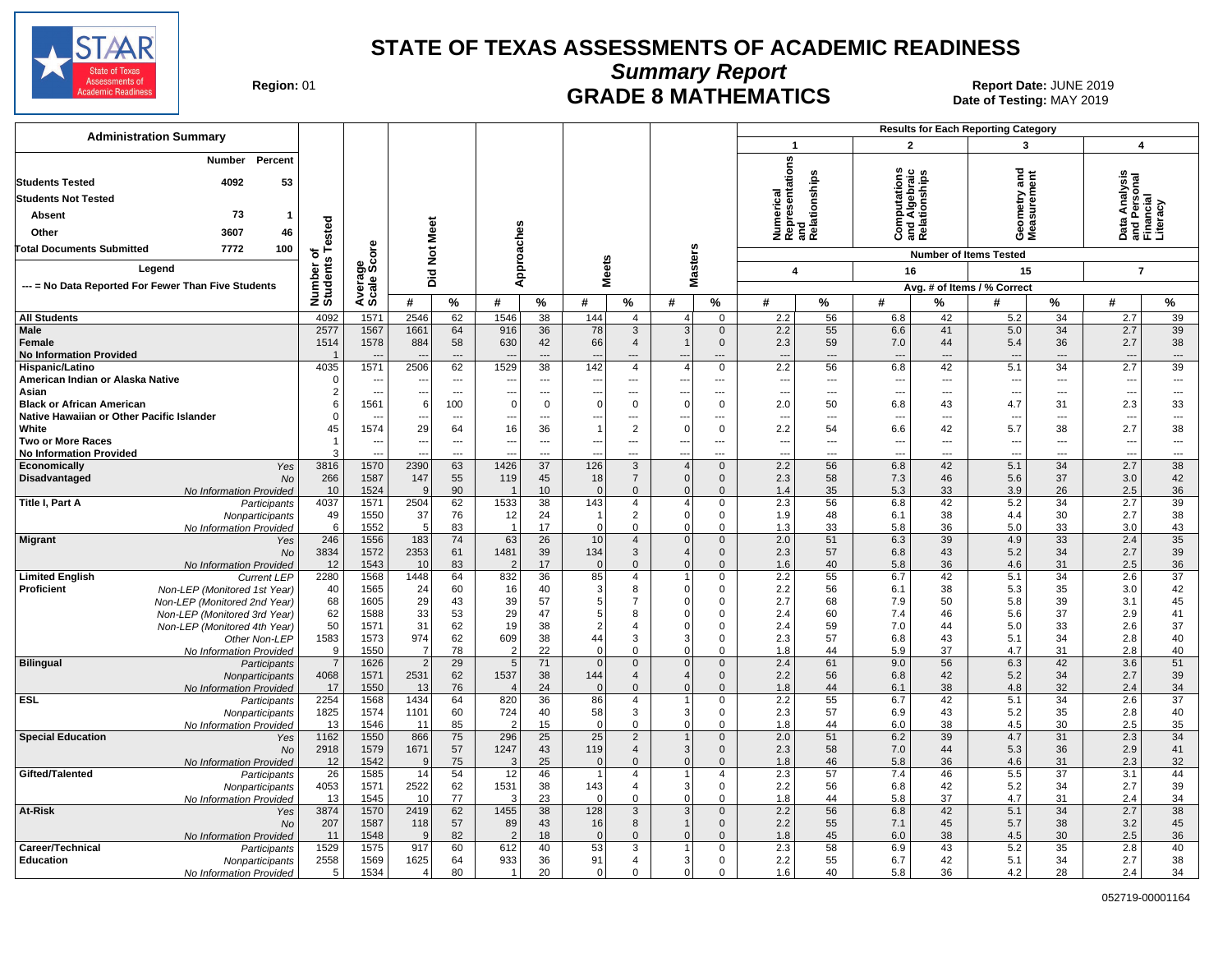

**Summary Report**

**GRADE 8 MATHEMATICS Date: JUNE 2019 Report Date: JUNE 2019 CRADE 8 MATHEMATICS** Date of Testing: MAY 2019

| <b>Administration Summary</b>                                                                                                  |                    |                          |                       |                          |                       |                      |                          |                                |                                  |                               |                              | <b>Results for Each Reporting Category</b> |                                               |                      |                                         |                          |                                                            |                                |
|--------------------------------------------------------------------------------------------------------------------------------|--------------------|--------------------------|-----------------------|--------------------------|-----------------------|----------------------|--------------------------|--------------------------------|----------------------------------|-------------------------------|------------------------------|--------------------------------------------|-----------------------------------------------|----------------------|-----------------------------------------|--------------------------|------------------------------------------------------------|--------------------------------|
|                                                                                                                                |                    |                          |                       |                          |                       |                      |                          |                                |                                  |                               | $\mathbf{1}$                 |                                            | $\overline{2}$                                |                      | 3                                       |                          | $\overline{\mathbf{4}}$                                    |                                |
| Percent<br>Number<br>53<br><b>Students Tested</b><br>4092<br><b>Students Not Tested</b><br>73<br>Absent<br>Other<br>3607<br>46 | ested              | e<br>b                   | Meet                  |                          | Approaches            |                      |                          |                                |                                  |                               | Numerical<br>Representations | and<br>Relationships                       | s<br>and Algebraic<br>Relationships<br>δ<br>o |                      | ъ<br>Ĕ<br>ieometry a<br>leasuremo<br>ŏέ | ēπ                       | a Analysis<br>Personal<br>ancial<br>Data<br>and F<br>Finar | iterac)                        |
| Total Documents Submitted<br>7772<br>100                                                                                       | ិក<br>s            |                          | $\breve{\mathbf{z}}$  |                          |                       |                      |                          |                                | <b>Masters</b>                   |                               |                              |                                            |                                               |                      | <b>Number of Items Tested</b>           |                          |                                                            |                                |
| Legend                                                                                                                         |                    | န္တပ္ကိ                  | Did                   |                          |                       |                      | eets                     |                                |                                  |                               | 4                            |                                            | 16                                            |                      | 15                                      |                          | $\overline{7}$                                             |                                |
| --- = No Data Reported For Fewer Than Five Students                                                                            | Number<br>Students | vera<br>cale             |                       |                          |                       |                      | ž                        |                                |                                  |                               |                              |                                            |                                               |                      | Avg. # of Items / % Correct             |                          |                                                            |                                |
|                                                                                                                                |                    | ∢ທັ                      | #                     | %                        | #                     | $\%$                 | #                        | $\%$                           | #                                | %                             | #                            | %                                          | #                                             | %                    | #                                       | %                        | #                                                          | $\%$                           |
| <b>All Students</b>                                                                                                            | 4092               | 1571                     | 2546                  | 62                       | 1546                  | 38                   | 144                      | $\overline{4}$                 | 4 <sup>1</sup>                   | $\mathbf 0$                   | 2.2                          | 56                                         | 6.8                                           | 42                   | 5.2                                     | 34                       | 2.7                                                        | 39                             |
| <b>Male</b>                                                                                                                    | 2577               | 1567                     | 1661                  | 64                       | 916                   | 36                   | 78                       | $\mathbf{3}$                   | 3                                | $\mathbf 0$                   | 2.2                          | 55                                         | 6.6                                           | 41                   | 5.0                                     | 34                       | 2.7                                                        | 39                             |
| Female<br><b>No Information Provided</b>                                                                                       | 1514               | 1578                     | 884                   | 58                       | 630                   | 42                   | 66                       | 4<br>---                       | $\mathbf{1}$                     | $\mathbf 0$                   | 2.3                          | 59<br>÷÷                                   | 7.0                                           | 44<br>$---$          | 5.4                                     | 36<br>$\overline{a}$     | 2.7                                                        | 38<br>$\overline{\phantom{a}}$ |
| Hispanic/Latino                                                                                                                | 4035               | 1571                     | 2506                  | 62                       | 1529                  | 38                   | 142                      | $\overline{4}$                 | $\overline{4}$                   | $\mathbf 0$                   | 2.2                          | 56                                         | 6.8                                           | 42                   | 5.1                                     | 34                       | 2.7                                                        | 39                             |
| American Indian or Alaska Native                                                                                               | $\Omega$           | $\overline{\phantom{a}}$ | н.                    | $\overline{a}$           |                       | ---                  | $\overline{\phantom{a}}$ | ---                            | $\overline{a}$                   | ---                           | ---                          | ---                                        | $---$                                         | $\overline{a}$       | $\overline{\phantom{a}}$                | $---$                    | $\overline{\phantom{a}}$                                   | ---                            |
| Asian                                                                                                                          |                    | $\overline{a}$           | --                    | $\overline{a}$           | $\mathbf 0$           | $\overline{a}$       | $\Omega$                 | $\overline{a}$                 | $\Omega$                         | ---                           | $\overline{a}$               | ---                                        | ---                                           | $\overline{a}$       |                                         | $---$                    | $\overline{a}$                                             | $\overline{\phantom{a}}$       |
| <b>Black or African American</b><br>Native Hawaiian or Other Pacific Islander                                                  |                    | 1561                     | 6                     | 100<br>$\overline{a}$    |                       | $\mathbf 0$<br>---   |                          | 0<br>---                       |                                  | $\mathbf 0$<br>---            | 2.0<br>--                    | 50<br>---                                  | 6.8<br>$\overline{\phantom{a}}$               | 43<br>$\overline{a}$ | 4.7                                     | 31<br>$\overline{a}$     | 2.3<br>$\overline{a}$                                      | 33<br>$---$                    |
| White                                                                                                                          | 45                 | 1574                     | 29                    | 64                       | 16                    | 36                   |                          | 2                              | $\Omega$                         | $\mathbf 0$                   | 2.2                          | 54                                         | 6.6                                           | 42                   | 5.7                                     | 38                       | 2.7                                                        | 38                             |
| <b>Two or More Races</b>                                                                                                       | -1                 | ---                      |                       | $\overline{\phantom{a}}$ | ---                   | ---                  |                          | ---                            | ---                              | ---                           | $\overline{\phantom{a}}$     | ---                                        | $\overline{\phantom{a}}$                      | $\overline{a}$       | $\overline{\phantom{a}}$                | $\overline{\phantom{a}}$ | ---                                                        | $\hspace{0.05cm} \ldots$       |
| <b>No Information Provided</b>                                                                                                 |                    |                          |                       | ---                      | 1426                  | $\overline{a}$<br>37 |                          | ---                            | ---                              | ---                           | $\sim$                       | ---                                        | ---                                           | ---<br>42            | $\overline{a}$                          | $\overline{a}$<br>34     | ---                                                        | ---                            |
| Economically<br>Yes<br>Disadvantaged<br>No                                                                                     | 3816<br>266        | 1570<br>1587             | 2390<br>147           | 63<br>55                 | 119                   | 45                   | 126<br>18                | $\mathbf{3}$<br>$\overline{7}$ | 4 <sup>1</sup><br>$\overline{0}$ | $\mathbf 0$<br>$\mathbf 0$    | 2.2<br>2.3                   | 56<br>58                                   | 6.8<br>7.3                                    | 46                   | 5.1<br>5.6                              | 37                       | 2.7<br>3.0                                                 | 38<br>42                       |
| No Information Provided                                                                                                        | 10                 | 1524                     | 9                     | 90                       | -1                    | 10                   | $\Omega$                 | $\mathbf{0}$                   | $\mathbf{0}$                     | $\mathbf 0$                   | 1.4                          | 35                                         | 5.3                                           | 33                   | 3.9                                     | 26                       | 2.5                                                        | 36                             |
| Title I, Part A<br>Participants                                                                                                | 4037               | 1571                     | 2504                  | 62                       | 1533                  | 38                   | 143                      | 4                              | 4                                | $\mathbf 0$                   | 2.3                          | 56                                         | 6.8                                           | 42                   | 5.2                                     | 34                       | 2.7                                                        | 39                             |
| Nonparticipants                                                                                                                | 49<br>6            | 1550<br>1552             | 37<br>5               | 76<br>83                 | 12<br>$\overline{1}$  | 24<br>17             |                          | $\overline{2}$<br>0            | $\overline{0}$<br>$\overline{0}$ | $\mathbf 0$<br>$\mathsf 0$    | 1.9<br>1.3                   | 48<br>33                                   | 6.1<br>5.8                                    | 38<br>36             | 4.4<br>5.0                              | 30<br>33                 | 2.7                                                        | 38<br>43                       |
| No Information Provided<br><b>Migrant</b><br>Yes                                                                               | 246                | 1556                     | 183                   | $\overline{74}$          | 63                    | 26                   | 0<br>10                  | $\overline{4}$                 | $\Omega$                         | $\mathbf 0$                   | $\overline{2.0}$             | 51                                         | 6.3                                           | 39                   | 4.9                                     | 33                       | 3.0<br>2.4                                                 | 35                             |
| <b>No</b>                                                                                                                      | 3834               | 1572                     | 2353                  | 61                       | 1481                  | 39                   | 134                      | 3                              | 4 <sup>1</sup>                   | $\mathbf 0$                   | 2.3                          | 57                                         | 6.8                                           | 43                   | 5.2                                     | 34                       | 2.7                                                        | 39                             |
| No Information Provided                                                                                                        | 12                 | 1543                     | 10                    | 83                       | $\overline{2}$        | 17                   | $\mathbf 0$              | $\mathbf 0$                    | $\mathbf{0}$                     | $\mathbf 0$                   | 1.6                          | 40                                         | 5.8                                           | 36                   | 4.6                                     | 31                       | 2.5                                                        | 36                             |
| <b>Limited English</b><br><b>Current LEP</b>                                                                                   | 2280               | 1568                     | 1448                  | 64                       | 832                   | 36                   | 85                       | $\overline{4}$                 | 1<br>$\Omega$                    | $\mathbf 0$                   | 2.2                          | 55                                         | 6.7                                           | 42                   | 5.1                                     | 34                       | 2.6                                                        | 37                             |
| Proficient<br>Non-LEP (Monitored 1st Year)<br>Non-LEP (Monitored 2nd Year)                                                     | 40<br>68           | 1565<br>1605             | 24<br>29              | 60<br>43                 | 16<br>39              | 40<br>57             | 3<br>5 <sub>5</sub>      | 8<br>$\overline{7}$            | $\Omega$                         | 0<br>0                        | 2.2<br>2.7                   | 56<br>68                                   | 6.1<br>7.9                                    | 38<br>50             | 5.3<br>5.8                              | 35<br>39                 | 3.0<br>3.1                                                 | 42<br>45                       |
| Non-LEP (Monitored 3rd Year)                                                                                                   | 62                 | 1588                     | 33                    | 53                       | 29                    | 47                   | 5                        | 8                              | 0                                | $\mathbf 0$                   | 2.4                          | 60                                         | 7.4                                           | 46                   | 5.6                                     | 37                       | 2.9                                                        | 41                             |
| Non-LEP (Monitored 4th Year)                                                                                                   | 50                 | 1571                     | 31                    | 62                       | 19                    | 38                   | $\overline{2}$           | 4                              | 0                                | $\mathbf 0$                   | 2.4                          | 59                                         | 7.0                                           | 44                   | 5.0                                     | 33                       | 2.6                                                        | 37                             |
| Other Non-LEP                                                                                                                  | 1583<br>9          | 1573                     | 974<br>$\overline{7}$ | 62<br>78                 | 609<br>$\overline{2}$ | 38<br>22             | 44                       | 3<br>$\Omega$                  | 3 <br>$\Omega$                   | $\mathbf 0$<br>$\mathbf 0$    | 2.3                          | 57                                         | 6.8                                           | 43                   | 5.1                                     | 34                       | 2.8<br>2.8                                                 | 40                             |
| No Information Provided<br><b>Bilingual</b><br>Participants                                                                    | $\overline{7}$     | 1550<br>1626             | $\overline{2}$        | 29                       | 5                     | 71                   | $\Omega$<br>$\mathbf 0$  | $\mathbf{0}$                   | 0                                | $\mathbf 0$                   | 1.8<br>2.4                   | 44<br>61                                   | 5.9<br>9.0                                    | 37<br>56             | 4.7<br>6.3                              | 31<br>42                 | 3.6                                                        | 40<br>51                       |
| Nonparticipants                                                                                                                | 4068               | 1571                     | 2531                  | 62                       | 1537                  | 38                   | 144                      | $\overline{4}$                 | $\overline{4}$                   | $\mathbf 0$                   | 2.2                          | 56                                         | 6.8                                           | 42                   | 5.2                                     | 34                       | 2.7                                                        | 39                             |
| No Information Provided                                                                                                        | 17                 | 1550                     | 13                    | 76                       | $\overline{4}$        | 24                   | $\Omega$                 | $\Omega$                       | $\Omega$                         | $\mathbf{0}$                  | 1.8                          | 44                                         | 6.1                                           | 38                   | 4.8                                     | 32                       | 2.4                                                        | 34                             |
| ESL<br>Participants                                                                                                            | 2254<br>1825       | 1568                     | 1434                  | 64<br>60                 | 820                   | 36                   | 86<br>58                 | 4<br>3                         | 1<br>3                           | $\mathbf 0$<br>$\mathsf 0$    | 2.2<br>2.3                   | 55<br>57                                   | 6.7<br>6.9                                    | 42<br>43             | 5.1<br>5.2                              | 34<br>35                 | 2.6<br>2.8                                                 | $\overline{37}$<br>40          |
| Nonparticipants<br>No Information Provided                                                                                     | 13                 | 1574<br>1546             | 1101<br>11            | 85                       | 724<br>$\mathcal{P}$  | 40<br>15             | O                        | 0                              | $\Omega$                         | $\mathbf 0$                   | 1.8                          | 44                                         | 6.0                                           | 38                   | 4.5                                     | 30                       | 2.5                                                        | 35                             |
| <b>Special Education</b><br>Yes                                                                                                | 1162               | 1550                     | 866                   | 75                       | 296                   | 25                   | 25                       | $\overline{2}$                 |                                  | $\mathbf 0$                   | 2.0                          | 51                                         | 6.2                                           | 39                   | 4.7                                     | 31                       | 2.3                                                        | 34                             |
| No                                                                                                                             | 2918               | 1579                     | 1671                  | 57                       | 1247                  | 43                   | 119                      | $\overline{4}$                 | 3 <sup>1</sup>                   | $\mathbf 0$                   | 2.3                          | 58                                         | 7.0                                           | 44                   | 5.3                                     | 36                       | 2.9                                                        | 41                             |
| No Information Provided                                                                                                        | 12                 | 1542                     | 9                     | 75                       | 3<br>12               | 25                   | $\Omega$                 | $\Omega$                       | $\overline{0}$<br>1              | $\mathbf 0$<br>$\overline{4}$ | 1.8                          | 46                                         | 5.8                                           | 36                   | 4.6                                     | 31                       | 2.3                                                        | 32                             |
| Gifted/Talented<br>Participants<br>Nonparticipants                                                                             | 26<br>4053         | 1585<br>1571             | 14<br>2522            | 54<br>62                 | 1531                  | 46<br>38             | 143                      | $\overline{4}$<br>4            | 3                                | 0                             | 2.3<br>2.2                   | 57<br>56                                   | 7.4<br>6.8                                    | 46<br>42             | 5.5<br>5.2                              | 37<br>34                 | 3.1<br>2.7                                                 | 44<br>39                       |
| No Information Provided                                                                                                        | 13                 | 1545                     | 10                    | 77                       | 3                     | 23                   | $\Omega$                 | $\Omega$                       | $\overline{0}$                   | $\mathbf 0$                   | 1.8                          | 44                                         | 5.8                                           | 37                   | 4.7                                     | 31                       | 2.4                                                        | 34                             |
| <b>At-Risk</b><br>Yes                                                                                                          | 3874               | 1570                     | 2419                  | 62                       | 1455                  | 38                   | 128                      | 3                              | 3 <sup>1</sup>                   | $\mathbf 0$                   | 2.2                          | 56                                         | 6.8                                           | 42                   | 5.1                                     | 34                       | 2.7                                                        | 38                             |
| No                                                                                                                             | 207                | 1587                     | 118                   | 57                       | 89                    | 43                   | 16                       | 8                              | $\mathbf{1}$                     | $\mathsf{O}\xspace$           | 2.2                          | 55                                         | 7.1                                           | 45                   | 5.7                                     | 38                       | 3.2                                                        | 45                             |
| No Information Provided<br>Career/Technical<br>Participants                                                                    | 11<br>1529         | 1548<br>1575             | 9<br>917              | 82<br>60                 | $\overline{2}$<br>612 | 18<br>40             | $\Omega$<br>53           | $\Omega$<br>3                  | $\Omega$<br>1                    | $\mathbf{0}$<br>$\mathbf 0$   | 1.8<br>2.3                   | 45<br>58                                   | 6.0<br>6.9                                    | 38<br>43             | 4.5<br>5.2                              | 30<br>35                 | 2.5<br>2.8                                                 | 36<br>40                       |
| <b>Education</b><br>Nonparticipants                                                                                            | 2558               | 1569                     | 1625                  | 64                       | 933                   | 36                   | 91                       | 4                              | 3 <sup>1</sup>                   | $\mathbf 0$                   | 2.2                          | 55                                         | 6.7                                           | 42                   | 5.1                                     | 34                       | 2.7                                                        | 38                             |
| No Information Provided                                                                                                        | 5                  | 1534                     | 4 <sup>1</sup>        | 80                       | $\mathbf{1}$          | 20                   | $\overline{0}$           | $\Omega$                       | $\overline{0}$                   | $\mathbf 0$                   | 1.6                          | 40                                         | 5.8                                           | 36                   | 4.2                                     | 28                       | 2.4                                                        | 34                             |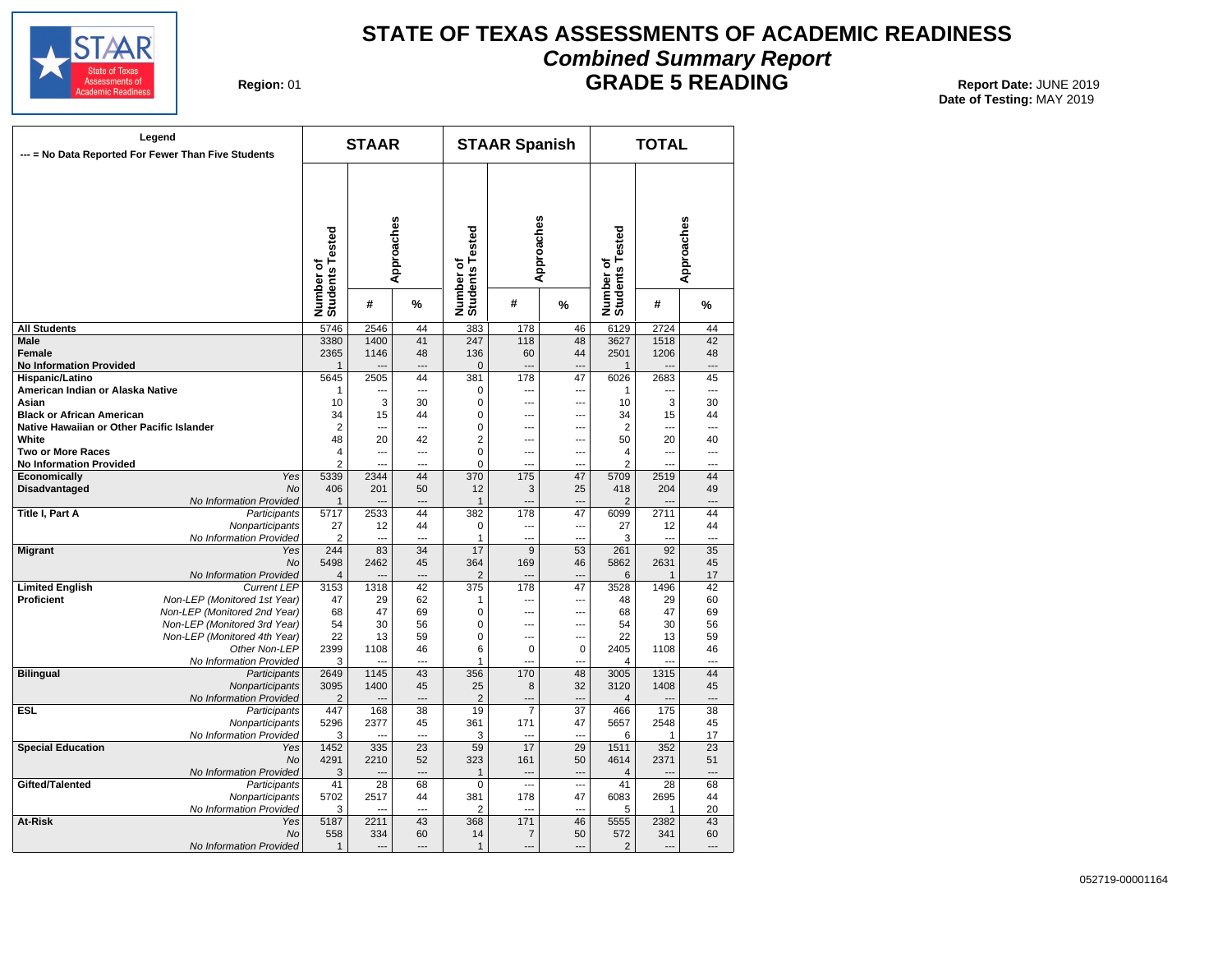

# **STATE OF TEXAS ASSESSMENTS OF ACADEMIC READINESS Combined Summary Report**

**Region: 01** 

**GRADE 5 READING** Report Date: JUNE 2019 **Date of Testing:**  MAY 2019

|                                                     | Legend<br>--- = No Data Reported For Fewer Than Five Students |                              | <b>STAAR</b>         |                |                              | <b>STAAR Spanish</b>             |                          |                              | <b>TOTAL</b>         |                      |
|-----------------------------------------------------|---------------------------------------------------------------|------------------------------|----------------------|----------------|------------------------------|----------------------------------|--------------------------|------------------------------|----------------------|----------------------|
|                                                     |                                                               | Number of<br>Students Tested |                      | Approaches     | Number of<br>Students Tested | Approaches                       |                          | Number of<br>Students Tested |                      | Approaches           |
|                                                     |                                                               |                              | #                    | %              |                              | #                                | %                        |                              | #                    | %                    |
| <b>All Students</b>                                 |                                                               | 5746                         | 2546                 | 44             | 383                          | 178                              | 46                       | 6129                         | 2724                 | 44                   |
| <b>Male</b>                                         |                                                               | 3380                         | 1400                 | 41             | 247                          | 118                              | 48                       | 3627                         | 1518                 | 42                   |
| Female<br><b>No Information Provided</b>            |                                                               | 2365<br>$\mathbf{1}$         | 1146                 | 48             | 136<br>$\Omega$              | 60                               | 44<br>---                | 2501<br>$\mathbf{1}$         | 1206                 | 48                   |
|                                                     |                                                               |                              | 2505                 | 44             | 381                          | 178                              | 47                       | 6026                         | 2683                 |                      |
| Hispanic/Latino<br>American Indian or Alaska Native |                                                               | 5645<br>$\mathbf{1}$         | ---                  | $\overline{a}$ | $\Omega$                     | $\overline{a}$                   | $\overline{a}$           | $\mathbf{1}$                 | ---                  | 45<br>$\overline{a}$ |
| Asian                                               |                                                               | 10                           | 3                    | 30             | 0                            | $\overline{a}$                   | $\overline{a}$           | 10                           | 3                    | 30                   |
|                                                     |                                                               | 34                           |                      | 44             | $\mathbf 0$                  | $\overline{a}$                   |                          | 34                           |                      | 44                   |
| <b>Black or African American</b>                    |                                                               |                              | 15<br>$\overline{a}$ | $\overline{a}$ |                              |                                  | $---$                    |                              | 15<br>$\overline{a}$ | $\overline{a}$       |
| Native Hawaiian or Other Pacific Islander           |                                                               | $\overline{2}$               | 20                   |                | 0<br>$\overline{2}$          | $\overline{a}$<br>$\overline{a}$ | ---                      | $\overline{2}$<br>50         | 20                   |                      |
| White                                               |                                                               | 48                           |                      | 42             |                              |                                  | ---                      |                              |                      | 40                   |
| <b>Two or More Races</b>                            |                                                               | $\overline{4}$               | $\overline{a}$       | $\overline{a}$ | $\mathbf 0$                  | $\overline{a}$                   | ---                      | $\overline{4}$               | $\overline{a}$       | ---                  |
| <b>No Information Provided</b>                      |                                                               | $\overline{2}$               | $\sim$               | $\overline{a}$ | $\mathbf 0$                  | $\overline{a}$                   | ---                      | $\overline{2}$               | $\overline{a}$       | ---                  |
| Economically                                        | Yes                                                           | 5339                         | 2344                 | 44             | 370                          | 175                              | 47                       | 5709                         | 2519                 | 44                   |
| <b>Disadvantaged</b>                                | <b>No</b>                                                     | 406                          | 201                  | 50             | 12                           | 3                                | 25                       | 418                          | 204                  | 49                   |
|                                                     | No Information Provided                                       | $\mathbf{1}$                 |                      | ---            | $\mathbf{1}$                 | ---                              | $\overline{a}$           | $\overline{2}$               |                      | ---                  |
| <b>Title I, Part A</b>                              | Participants                                                  | 5717                         | 2533                 | 44             | 382                          | 178                              | 47                       | 6099                         | 2711                 | 44                   |
|                                                     | Nonparticipants                                               | 27                           | 12                   | 44             | $\mathbf 0$                  | ---                              | $\overline{\phantom{a}}$ | 27                           | 12                   | 44                   |
|                                                     | No Information Provided                                       | $\overline{2}$               | $- - -$              | $- - -$        | $\mathbf{1}$                 | $\sim$                           | $\sim$                   | 3                            | $\sim$               | $-$                  |
| <b>Migrant</b>                                      | Yes                                                           | 244                          | 83                   | 34             | 17                           | $\overline{9}$                   | 53                       | 261                          | 92                   | 35                   |
|                                                     | <b>No</b>                                                     | 5498                         | 2462                 | 45             | 364                          | 169                              | 46                       | 5862                         | 2631                 | 45                   |
|                                                     | No Information Provided                                       | $\overline{4}$               |                      | ---            | $\overline{2}$               |                                  |                          | 6                            | $\mathbf{1}$         | 17                   |
| <b>Limited English</b>                              | <b>Current LEP</b>                                            | 3153                         | 1318                 | 42             | 375                          | 178                              | 47                       | 3528                         | 1496                 | 42                   |
| <b>Proficient</b>                                   | Non-LEP (Monitored 1st Year)                                  | 47                           | 29                   | 62             | 1                            | ---                              | ---                      | 48                           | 29                   | 60                   |
|                                                     | Non-LEP (Monitored 2nd Year)                                  | 68                           | 47                   | 69             | $\Omega$                     | ---                              | ---                      | 68                           | 47                   | 69                   |
|                                                     | Non-LEP (Monitored 3rd Year)                                  | 54                           | 30                   | 56             | $\Omega$                     | ---                              | ---                      | 54                           | 30                   | 56                   |
|                                                     | Non-LEP (Monitored 4th Year)                                  | 22                           | 13                   | 59             | $\Omega$                     | ---                              | ---                      | 22                           | 13                   | 59                   |
|                                                     | Other Non-LEP                                                 | 2399                         | 1108                 | 46             | 6                            | $\Omega$                         | 0                        | 2405                         | 1108                 | 46                   |
|                                                     | No Information Provided                                       | 3                            |                      | ---            | 1                            | ---                              | ÷.,                      | $\overline{4}$               |                      |                      |
| <b>Bilingual</b>                                    | Participants                                                  | 2649                         | 1145                 | 43             | 356                          | 170                              | 48                       | 3005                         | 1315                 | 44                   |
|                                                     | Nonparticipants                                               | 3095                         | 1400                 | 45             | 25                           | 8                                | 32                       | 3120                         | 1408                 | 45                   |
|                                                     | No Information Provided                                       | $\overline{2}$               |                      | $---$          | $\overline{2}$               | $-$                              | ---                      | $\overline{4}$               |                      | $\overline{a}$       |
| <b>ESL</b>                                          | Participants                                                  | 447                          | 168                  | 38             | 19                           | $\overline{7}$                   | 37                       | 466                          | 175                  | 38                   |
|                                                     | Nonparticipants                                               | 5296                         | 2377                 | 45             | 361                          | 171                              | 47                       | 5657                         | 2548                 | 45                   |
|                                                     | No Information Provided                                       | 3                            |                      | $\overline{a}$ | 3                            | ---                              | ÷.,                      | 6                            | $\mathbf{1}$         | 17                   |
| <b>Special Education</b>                            | Yes                                                           | 1452                         | 335                  | 23             | 59                           | 17                               | 29                       | 1511                         | 352                  | $\overline{23}$      |
|                                                     | <b>No</b>                                                     | 4291                         | 2210                 | 52             | 323                          | 161                              | 50                       | 4614                         | 2371                 | 51                   |
|                                                     | No Information Provided                                       | 3                            | $\overline{a}$       | ---            | 1                            | $\overline{a}$                   | $\overline{a}$           | $\overline{4}$               | $\sim$               | $\overline{a}$       |
| Gifted/Talented                                     | Participants                                                  | 41                           | 28                   | 68             | $\mathbf 0$                  |                                  | $\ddotsc$                | 41                           | 28                   | 68                   |
|                                                     | Nonparticipants                                               | 5702                         | 2517                 | 44             | 381                          | 178                              | 47                       | 6083                         | 2695                 | 44                   |
|                                                     | No Information Provided                                       | 3                            | $\overline{a}$       | $\overline{a}$ | $\overline{2}$               | $\sim$                           | $\overline{a}$           | 5                            | 1                    | 20                   |
| <b>At-Risk</b>                                      | Yes                                                           | 5187                         | 2211                 | 43             | 368                          | 171                              | 46                       | 5555                         | 2382                 | 43                   |
|                                                     | <b>No</b>                                                     | 558                          | 334                  | 60             | 14                           | $\overline{7}$                   | 50                       | 572                          | 341                  | 60                   |
|                                                     | No Information Provided                                       | $\mathbf{1}$                 | $\overline{a}$       | $---$          | $\mathbf{1}$                 | $\sim$                           | $\overline{a}$           | 2                            | $---$                |                      |